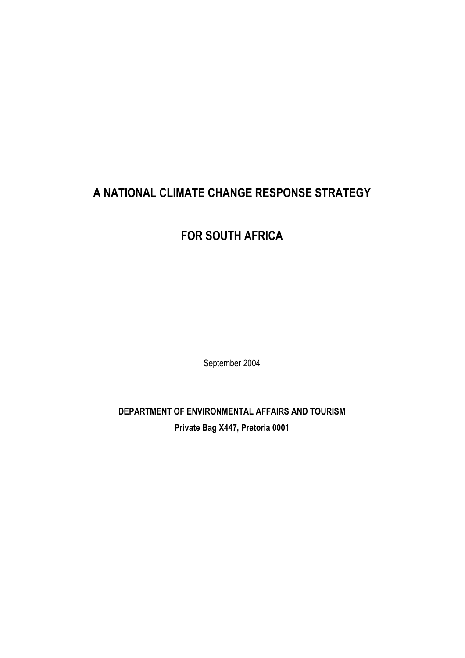# **A NATIONAL CLIMATE CHANGE RESPONSE STRATEGY**

# **FOR SOUTH AFRICA**

September 2004

**DEPARTMENT OF ENVIRONMENTAL AFFAIRS AND TOURISM Private Bag X447, Pretoria 0001**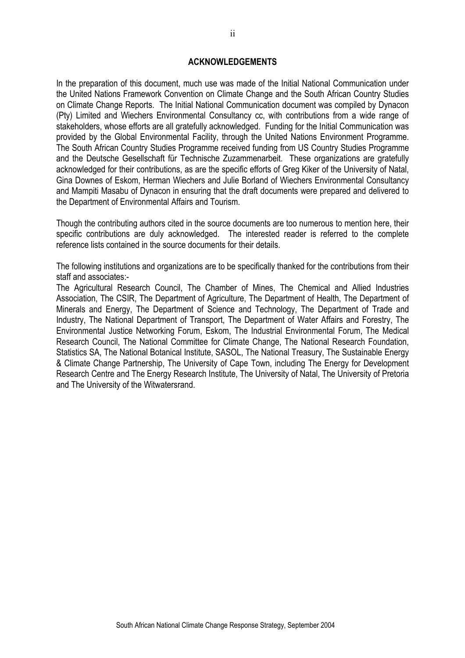#### **ACKNOWLEDGEMENTS**

In the preparation of this document, much use was made of the Initial National Communication under the United Nations Framework Convention on Climate Change and the South African Country Studies on Climate Change Reports. The Initial National Communication document was compiled by Dynacon (Pty) Limited and Wiechers Environmental Consultancy cc, with contributions from a wide range of stakeholders, whose efforts are all gratefully acknowledged. Funding for the Initial Communication was provided by the Global Environmental Facility, through the United Nations Environment Programme. The South African Country Studies Programme received funding from US Country Studies Programme and the Deutsche Gesellschaft für Technische Zuzammenarbeit. These organizations are gratefully acknowledged for their contributions, as are the specific efforts of Greg Kiker of the University of Natal, Gina Downes of Eskom, Herman Wiechers and Julie Borland of Wiechers Environmental Consultancy and Mampiti Masabu of Dynacon in ensuring that the draft documents were prepared and delivered to the Department of Environmental Affairs and Tourism.

Though the contributing authors cited in the source documents are too numerous to mention here, their specific contributions are duly acknowledged. The interested reader is referred to the complete reference lists contained in the source documents for their details.

The following institutions and organizations are to be specifically thanked for the contributions from their staff and associates:-

The Agricultural Research Council, The Chamber of Mines, The Chemical and Allied Industries Association, The CSIR, The Department of Agriculture, The Department of Health, The Department of Minerals and Energy, The Department of Science and Technology, The Department of Trade and Industry, The National Department of Transport, The Department of Water Affairs and Forestry, The Environmental Justice Networking Forum, Eskom, The Industrial Environmental Forum, The Medical Research Council, The National Committee for Climate Change, The National Research Foundation, Statistics SA, The National Botanical Institute, SASOL, The National Treasury, The Sustainable Energy & Climate Change Partnership, The University of Cape Town, including The Energy for Development Research Centre and The Energy Research Institute, The University of Natal, The University of Pretoria and The University of the Witwatersrand.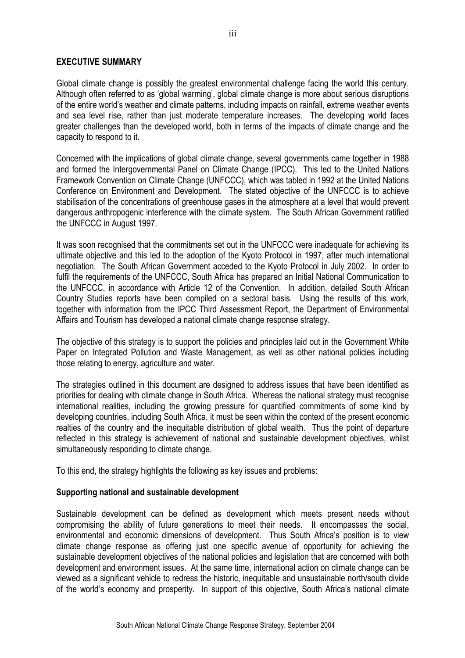#### **EXECUTIVE SUMMARY**

Global climate change is possibly the greatest environmental challenge facing the world this century. Although often referred to as 'global warming', global climate change is more about serious disruptions of the entire world's weather and climate patterns, including impacts on rainfall, extreme weather events and sea level rise, rather than just moderate temperature increases. The developing world faces greater challenges than the developed world, both in terms of the impacts of climate change and the capacity to respond to it.

Concerned with the implications of global climate change, several governments came together in 1988 and formed the Intergovernmental Panel on Climate Change (IPCC). This led to the United Nations Framework Convention on Climate Change (UNFCCC), which was tabled in 1992 at the United Nations Conference on Environment and Development. The stated objective of the UNFCCC is to achieve stabilisation of the concentrations of greenhouse gases in the atmosphere at a level that would prevent dangerous anthropogenic interference with the climate system. The South African Government ratified the UNFCCC in August 1997.

It was soon recognised that the commitments set out in the UNFCCC were inadequate for achieving its ultimate objective and this led to the adoption of the Kyoto Protocol in 1997, after much international negotiation. The South African Government acceded to the Kyoto Protocol in July 2002. In order to fulfil the requirements of the UNFCCC, South Africa has prepared an Initial National Communication to the UNFCCC, in accordance with Article 12 of the Convention. In addition, detailed South African Country Studies reports have been compiled on a sectoral basis. Using the results of this work, together with information from the IPCC Third Assessment Report, the Department of Environmental Affairs and Tourism has developed a national climate change response strategy.

The objective of this strategy is to support the policies and principles laid out in the Government White Paper on Integrated Pollution and Waste Management, as well as other national policies including those relating to energy, agriculture and water.

The strategies outlined in this document are designed to address issues that have been identified as priorities for dealing with climate change in South Africa. Whereas the national strategy must recognise international realities, including the growing pressure for quantified commitments of some kind by developing countries, including South Africa, it must be seen within the context of the present economic realties of the country and the inequitable distribution of global wealth. Thus the point of departure reflected in this strategy is achievement of national and sustainable development objectives, whilst simultaneously responding to climate change.

To this end, the strategy highlights the following as key issues and problems:

#### **Supporting national and sustainable development**

Sustainable development can be defined as development which meets present needs without compromising the ability of future generations to meet their needs. It encompasses the social, environmental and economic dimensions of development. Thus South Africa's position is to view climate change response as offering just one specific avenue of opportunity for achieving the sustainable development objectives of the national policies and legislation that are concerned with both development and environment issues. At the same time, international action on climate change can be viewed as a significant vehicle to redress the historic, inequitable and unsustainable north/south divide of the world's economy and prosperity. In support of this objective, South Africa's national climate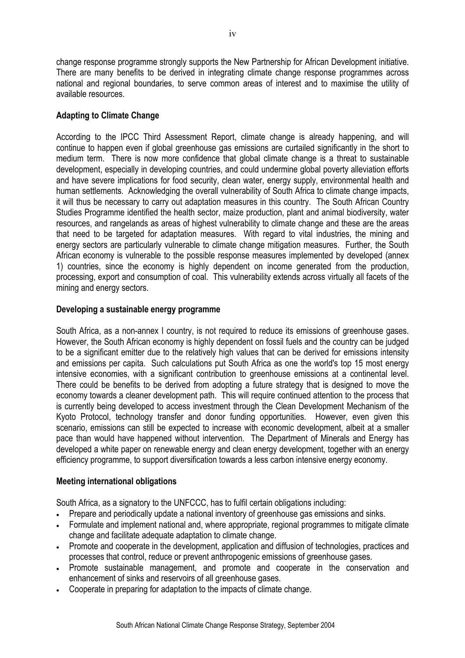change response programme strongly supports the New Partnership for African Development initiative. There are many benefits to be derived in integrating climate change response programmes across national and regional boundaries, to serve common areas of interest and to maximise the utility of available resources.

## **Adapting to Climate Change**

According to the IPCC Third Assessment Report, climate change is already happening, and will continue to happen even if global greenhouse gas emissions are curtailed significantly in the short to medium term. There is now more confidence that global climate change is a threat to sustainable development, especially in developing countries, and could undermine global poverty alleviation efforts and have severe implications for food security, clean water, energy supply, environmental health and human settlements. Acknowledging the overall vulnerability of South Africa to climate change impacts, it will thus be necessary to carry out adaptation measures in this country. The South African Country Studies Programme identified the health sector, maize production, plant and animal biodiversity, water resources, and rangelands as areas of highest vulnerability to climate change and these are the areas that need to be targeted for adaptation measures. With regard to vital industries, the mining and energy sectors are particularly vulnerable to climate change mitigation measures. Further, the South African economy is vulnerable to the possible response measures implemented by developed (annex 1) countries, since the economy is highly dependent on income generated from the production, processing, export and consumption of coal. This vulnerability extends across virtually all facets of the mining and energy sectors.

## **Developing a sustainable energy programme**

South Africa, as a non-annex I country, is not required to reduce its emissions of greenhouse gases. However, the South African economy is highly dependent on fossil fuels and the country can be judged to be a significant emitter due to the relatively high values that can be derived for emissions intensity and emissions per capita. Such calculations put South Africa as one the world's top 15 most energy intensive economies, with a significant contribution to greenhouse emissions at a continental level. There could be benefits to be derived from adopting a future strategy that is designed to move the economy towards a cleaner development path. This will require continued attention to the process that is currently being developed to access investment through the Clean Development Mechanism of the Kyoto Protocol, technology transfer and donor funding opportunities. However, even given this scenario, emissions can still be expected to increase with economic development, albeit at a smaller pace than would have happened without intervention. The Department of Minerals and Energy has developed a white paper on renewable energy and clean energy development, together with an energy efficiency programme, to support diversification towards a less carbon intensive energy economy.

## **Meeting international obligations**

South Africa, as a signatory to the UNFCCC, has to fulfil certain obligations including:

- Prepare and periodically update a national inventory of greenhouse gas emissions and sinks.
- Formulate and implement national and, where appropriate, regional programmes to mitigate climate change and facilitate adequate adaptation to climate change.
- Promote and cooperate in the development, application and diffusion of technologies, practices and processes that control, reduce or prevent anthropogenic emissions of greenhouse gases.
- Promote sustainable management, and promote and cooperate in the conservation and enhancement of sinks and reservoirs of all greenhouse gases.
- Cooperate in preparing for adaptation to the impacts of climate change.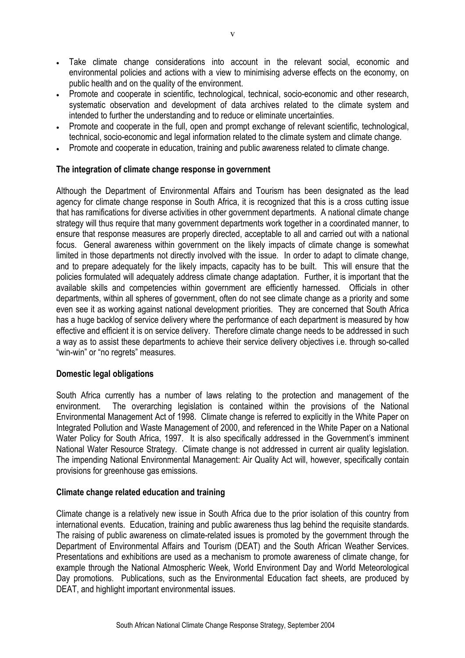- Take climate change considerations into account in the relevant social, economic and environmental policies and actions with a view to minimising adverse effects on the economy, on public health and on the quality of the environment.
- Promote and cooperate in scientific, technological, technical, socio-economic and other research, systematic observation and development of data archives related to the climate system and intended to further the understanding and to reduce or eliminate uncertainties.
- Promote and cooperate in the full, open and prompt exchange of relevant scientific, technological, technical, socio-economic and legal information related to the climate system and climate change.
- Promote and cooperate in education, training and public awareness related to climate change.

#### **The integration of climate change response in government**

Although the Department of Environmental Affairs and Tourism has been designated as the lead agency for climate change response in South Africa, it is recognized that this is a cross cutting issue that has ramifications for diverse activities in other government departments. A national climate change strategy will thus require that many government departments work together in a coordinated manner, to ensure that response measures are properly directed, acceptable to all and carried out with a national focus. General awareness within government on the likely impacts of climate change is somewhat limited in those departments not directly involved with the issue. In order to adapt to climate change, and to prepare adequately for the likely impacts, capacity has to be built. This will ensure that the policies formulated will adequately address climate change adaptation. Further, it is important that the available skills and competencies within government are efficiently harnessed. Officials in other departments, within all spheres of government, often do not see climate change as a priority and some even see it as working against national development priorities. They are concerned that South Africa has a huge backlog of service delivery where the performance of each department is measured by how effective and efficient it is on service delivery. Therefore climate change needs to be addressed in such a way as to assist these departments to achieve their service delivery objectives i.e. through so-called "win-win" or "no regrets" measures.

#### **Domestic legal obligations**

South Africa currently has a number of laws relating to the protection and management of the environment. The overarching legislation is contained within the provisions of the National Environmental Management Act of 1998. Climate change is referred to explicitly in the White Paper on Integrated Pollution and Waste Management of 2000, and referenced in the White Paper on a National Water Policy for South Africa, 1997. It is also specifically addressed in the Government's imminent National Water Resource Strategy. Climate change is not addressed in current air quality legislation. The impending National Environmental Management: Air Quality Act will, however, specifically contain provisions for greenhouse gas emissions.

#### **Climate change related education and training**

Climate change is a relatively new issue in South Africa due to the prior isolation of this country from international events. Education, training and public awareness thus lag behind the requisite standards. The raising of public awareness on climate-related issues is promoted by the government through the Department of Environmental Affairs and Tourism (DEAT) and the South African Weather Services. Presentations and exhibitions are used as a mechanism to promote awareness of climate change, for example through the National Atmospheric Week, World Environment Day and World Meteorological Day promotions. Publications, such as the Environmental Education fact sheets, are produced by DEAT, and highlight important environmental issues.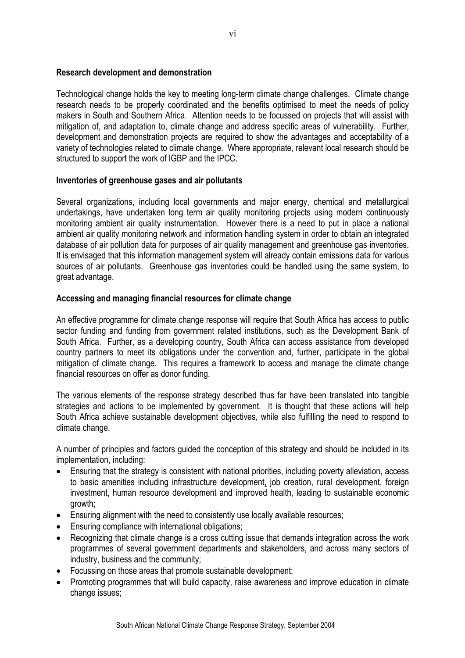#### **Research development and demonstration**

Technological change holds the key to meeting long-term climate change challenges. Climate change research needs to be properly coordinated and the benefits optimised to meet the needs of policy makers in South and Southern Africa. Attention needs to be focussed on projects that will assist with mitigation of, and adaptation to, climate change and address specific areas of vulnerability. Further, development and demonstration projects are required to show the advantages and acceptability of a variety of technologies related to climate change. Where appropriate, relevant local research should be structured to support the work of IGBP and the IPCC.

#### **Inventories of greenhouse gases and air pollutants**

Several organizations, including local governments and major energy, chemical and metallurgical undertakings, have undertaken long term air quality monitoring projects using modern continuously monitoring ambient air quality instrumentation. However there is a need to put in place a national ambient air quality monitoring network and information handling system in order to obtain an integrated database of air pollution data for purposes of air quality management and greenhouse gas inventories. It is envisaged that this information management system will already contain emissions data for various sources of air pollutants. Greenhouse gas inventories could be handled using the same system, to great advantage.

#### **Accessing and managing financial resources for climate change**

An effective programme for climate change response will require that South Africa has access to public sector funding and funding from government related institutions, such as the Development Bank of South Africa. Further, as a developing country, South Africa can access assistance from developed country partners to meet its obligations under the convention and, further, participate in the global mitigation of climate change. This requires a framework to access and manage the climate change financial resources on offer as donor funding.

The various elements of the response strategy described thus far have been translated into tangible strategies and actions to be implemented by government. It is thought that these actions will help South Africa achieve sustainable development objectives, while also fulfilling the need to respond to climate change.

A number of principles and factors guided the conception of this strategy and should be included in its implementation, including:

- Ensuring that the strategy is consistent with national priorities, including poverty alleviation, access to basic amenities including infrastructure development, job creation, rural development, foreign investment, human resource development and improved health, leading to sustainable economic growth;
- Ensuring alignment with the need to consistently use locally available resources;
- Ensuring compliance with international obligations;
- Recognizing that climate change is a cross cutting issue that demands integration across the work programmes of several government departments and stakeholders, and across many sectors of industry, business and the community;
- Focussing on those areas that promote sustainable development;
- Promoting programmes that will build capacity, raise awareness and improve education in climate change issues;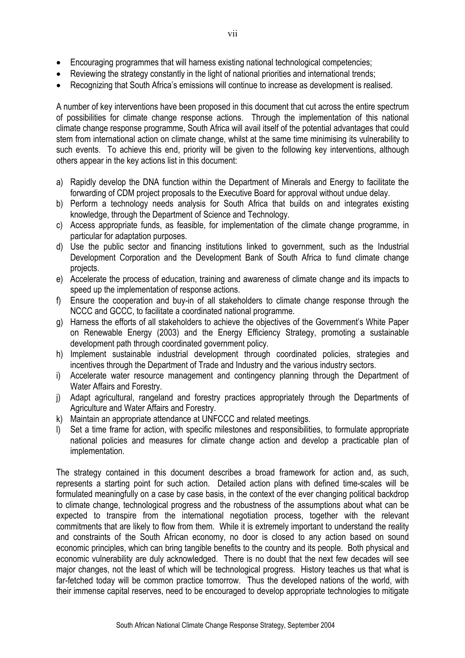- Encouraging programmes that will harness existing national technological competencies;
- Reviewing the strategy constantly in the light of national priorities and international trends;
- Recognizing that South Africa's emissions will continue to increase as development is realised.

A number of key interventions have been proposed in this document that cut across the entire spectrum of possibilities for climate change response actions. Through the implementation of this national climate change response programme, South Africa will avail itself of the potential advantages that could stem from international action on climate change, whilst at the same time minimising its vulnerability to such events. To achieve this end, priority will be given to the following key interventions, although others appear in the key actions list in this document:

- a) Rapidly develop the DNA function within the Department of Minerals and Energy to facilitate the forwarding of CDM project proposals to the Executive Board for approval without undue delay.
- b) Perform a technology needs analysis for South Africa that builds on and integrates existing knowledge, through the Department of Science and Technology.
- c) Access appropriate funds, as feasible, for implementation of the climate change programme, in particular for adaptation purposes.
- d) Use the public sector and financing institutions linked to government, such as the Industrial Development Corporation and the Development Bank of South Africa to fund climate change projects.
- e) Accelerate the process of education, training and awareness of climate change and its impacts to speed up the implementation of response actions.
- f) Ensure the cooperation and buy-in of all stakeholders to climate change response through the NCCC and GCCC, to facilitate a coordinated national programme.
- g) Harness the efforts of all stakeholders to achieve the objectives of the Government's White Paper on Renewable Energy (2003) and the Energy Efficiency Strategy, promoting a sustainable development path through coordinated government policy.
- h) Implement sustainable industrial development through coordinated policies, strategies and incentives through the Department of Trade and Industry and the various industry sectors.
- i) Accelerate water resource management and contingency planning through the Department of Water Affairs and Forestry.
- j) Adapt agricultural, rangeland and forestry practices appropriately through the Departments of Agriculture and Water Affairs and Forestry.
- k) Maintain an appropriate attendance at UNFCCC and related meetings.
- l) Set a time frame for action, with specific milestones and responsibilities, to formulate appropriate national policies and measures for climate change action and develop a practicable plan of implementation.

The strategy contained in this document describes a broad framework for action and, as such, represents a starting point for such action. Detailed action plans with defined time-scales will be formulated meaningfully on a case by case basis, in the context of the ever changing political backdrop to climate change, technological progress and the robustness of the assumptions about what can be expected to transpire from the international negotiation process, together with the relevant commitments that are likely to flow from them. While it is extremely important to understand the reality and constraints of the South African economy, no door is closed to any action based on sound economic principles, which can bring tangible benefits to the country and its people. Both physical and economic vulnerability are duly acknowledged. There is no doubt that the next few decades will see major changes, not the least of which will be technological progress. History teaches us that what is far-fetched today will be common practice tomorrow. Thus the developed nations of the world, with their immense capital reserves, need to be encouraged to develop appropriate technologies to mitigate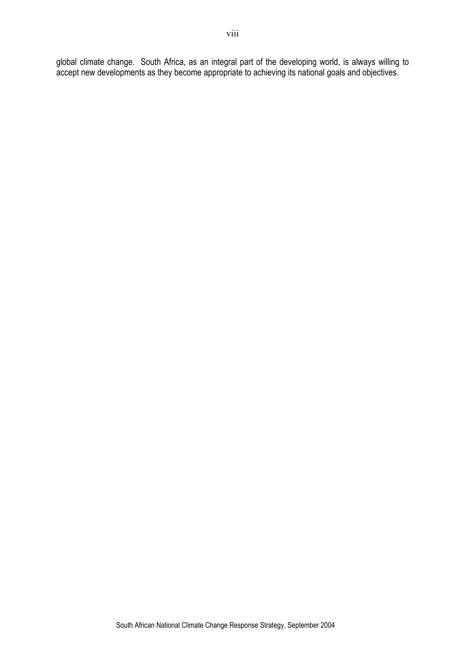global climate change. South Africa, as an integral part of the developing world, is always willing to accept new developments as they become appropriate to achieving its national goals and objectives.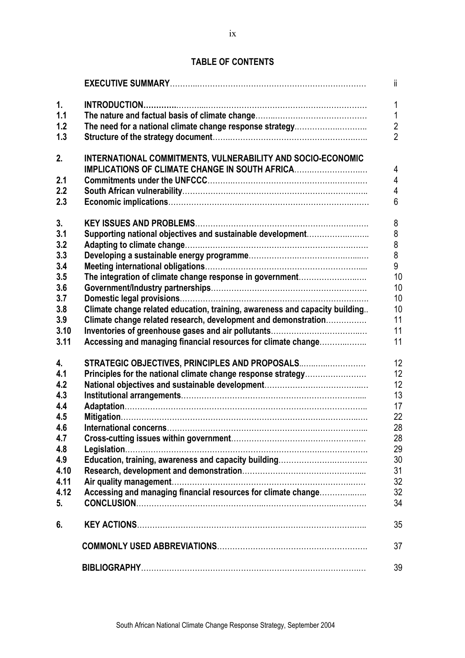# **TABLE OF CONTENTS**

|      |                                                                             | $\mathbf{H}$   |
|------|-----------------------------------------------------------------------------|----------------|
| 1.   |                                                                             | 1              |
| 1.1  |                                                                             | 1              |
| 1.2  |                                                                             | $\overline{2}$ |
| 1.3  |                                                                             | $\overline{2}$ |
|      |                                                                             |                |
| 2.   | INTERNATIONAL COMMITMENTS, VULNERABILITY AND SOCIO-ECONOMIC                 |                |
|      | IMPLICATIONS OF CLIMATE CHANGE IN SOUTH AFRICA                              | 4              |
| 2.1  |                                                                             | 4              |
| 2.2  |                                                                             | 4              |
| 2.3  |                                                                             | 6              |
|      |                                                                             |                |
| 3.   |                                                                             | 8              |
| 3.1  | Supporting national objectives and sustainable development                  | 8              |
| 3.2  |                                                                             | 8              |
| 3.3  |                                                                             | 8<br>9         |
| 3.4  |                                                                             |                |
| 3.5  | The integration of climate change response in government                    | 10             |
| 3.6  |                                                                             | 10             |
| 3.7  |                                                                             | 10             |
| 3.8  | Climate change related education, training, awareness and capacity building | 10             |
| 3.9  | Climate change related research, development and demonstration              | 11             |
| 3.10 |                                                                             | 11             |
| 3.11 | Accessing and managing financial resources for climate change               | 11             |
| 4.   | STRATEGIC OBJECTIVES, PRINCIPLES AND PROPOSALS                              | 12             |
| 4.1  | Principles for the national climate change response strategy                | 12             |
| 4.2  |                                                                             | 12             |
| 4.3  |                                                                             | 13             |
| 4.4  |                                                                             | 17             |
| 4.5  |                                                                             | 22             |
| 4.6  |                                                                             | 28             |
| 4.7  |                                                                             | 28             |
| 4.8  |                                                                             | 29             |
| 4.9  | Education, training, awareness and capacity building                        | 30             |
| 4.10 |                                                                             | 31             |
| 4.11 |                                                                             | 32             |
| 4.12 | Accessing and managing financial resources for climate change               | 32             |
| 5.   |                                                                             | 34             |
|      |                                                                             |                |
| 6.   |                                                                             | 35             |
|      |                                                                             | 37             |
|      |                                                                             |                |
|      |                                                                             | 39             |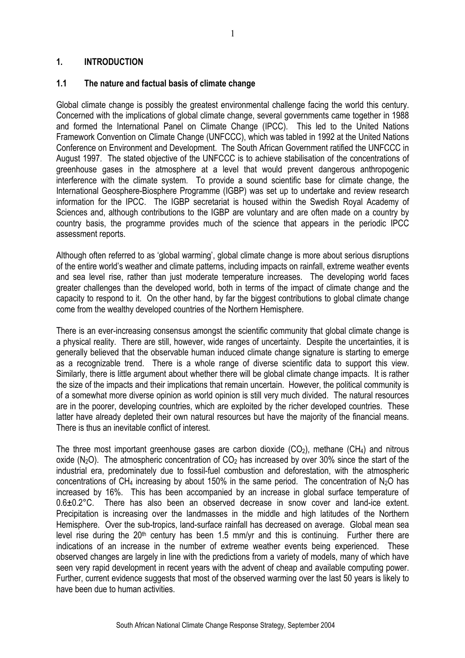#### **1. INTRODUCTION**

#### **1.1 The nature and factual basis of climate change**

Global climate change is possibly the greatest environmental challenge facing the world this century. Concerned with the implications of global climate change, several governments came together in 1988 and formed the International Panel on Climate Change (IPCC). This led to the United Nations Framework Convention on Climate Change (UNFCCC), which was tabled in 1992 at the United Nations Conference on Environment and Development. The South African Government ratified the UNFCCC in August 1997. The stated objective of the UNFCCC is to achieve stabilisation of the concentrations of greenhouse gases in the atmosphere at a level that would prevent dangerous anthropogenic interference with the climate system. To provide a sound scientific base for climate change, the International Geosphere-Biosphere Programme (IGBP) was set up to undertake and review research information for the IPCC. The IGBP secretariat is housed within the Swedish Royal Academy of Sciences and, although contributions to the IGBP are voluntary and are often made on a country by country basis, the programme provides much of the science that appears in the periodic IPCC assessment reports.

Although often referred to as 'global warming', global climate change is more about serious disruptions of the entire world's weather and climate patterns, including impacts on rainfall, extreme weather events and sea level rise, rather than just moderate temperature increases. The developing world faces greater challenges than the developed world, both in terms of the impact of climate change and the capacity to respond to it. On the other hand, by far the biggest contributions to global climate change come from the wealthy developed countries of the Northern Hemisphere.

There is an ever-increasing consensus amongst the scientific community that global climate change is a physical reality. There are still, however, wide ranges of uncertainty. Despite the uncertainties, it is generally believed that the observable human induced climate change signature is starting to emerge as a recognizable trend. There is a whole range of diverse scientific data to support this view. Similarly, there is little argument about whether there will be global climate change impacts. It is rather the size of the impacts and their implications that remain uncertain. However, the political community is of a somewhat more diverse opinion as world opinion is still very much divided. The natural resources are in the poorer, developing countries, which are exploited by the richer developed countries. These latter have already depleted their own natural resources but have the majority of the financial means. There is thus an inevitable conflict of interest.

The three most important greenhouse gases are carbon dioxide  $(CO<sub>2</sub>)$ , methane  $(CH<sub>4</sub>)$  and nitrous oxide ( $N_2$ O). The atmospheric concentration of  $CO<sub>2</sub>$  has increased by over 30% since the start of the industrial era, predominately due to fossil-fuel combustion and deforestation, with the atmospheric concentrations of CH<sub>4</sub> increasing by about 150% in the same period. The concentration of N<sub>2</sub>O has increased by 16%. This has been accompanied by an increase in global surface temperature of 0.6±0.2°C. There has also been an observed decrease in snow cover and land-ice extent. Precipitation is increasing over the landmasses in the middle and high latitudes of the Northern Hemisphere. Over the sub-tropics, land-surface rainfall has decreased on average. Global mean sea level rise during the  $20<sup>th</sup>$  century has been 1.5 mm/yr and this is continuing. Further there are indications of an increase in the number of extreme weather events being experienced. These observed changes are largely in line with the predictions from a variety of models, many of which have seen very rapid development in recent years with the advent of cheap and available computing power. Further, current evidence suggests that most of the observed warming over the last 50 years is likely to have been due to human activities.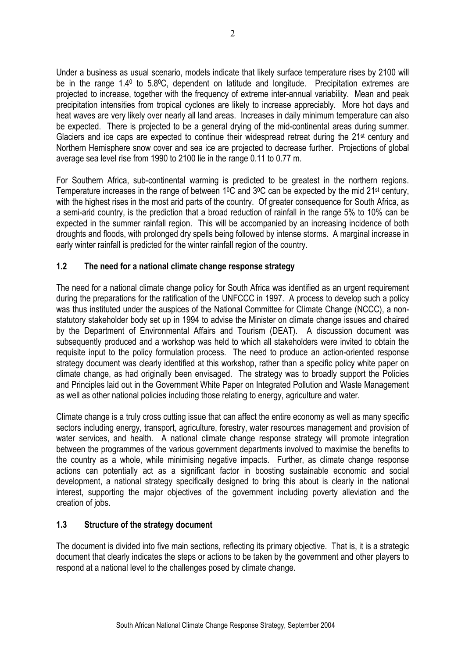Under a business as usual scenario, models indicate that likely surface temperature rises by 2100 will be in the range 1.4<sup>0</sup> to 5.8<sup>o</sup>C, dependent on latitude and longitude. Precipitation extremes are projected to increase, together with the frequency of extreme inter-annual variability. Mean and peak precipitation intensities from tropical cyclones are likely to increase appreciably. More hot days and heat waves are very likely over nearly all land areas. Increases in daily minimum temperature can also be expected. There is projected to be a general drying of the mid-continental areas during summer. Glaciers and ice caps are expected to continue their widespread retreat during the 21st century and Northern Hemisphere snow cover and sea ice are projected to decrease further. Projections of global average sea level rise from 1990 to 2100 lie in the range 0.11 to 0.77 m.

For Southern Africa, sub-continental warming is predicted to be greatest in the northern regions. Temperature increases in the range of between 1<sup>o</sup>C and 3<sup>o</sup>C can be expected by the mid 21<sup>st</sup> century, with the highest rises in the most arid parts of the country. Of greater consequence for South Africa, as a semi-arid country, is the prediction that a broad reduction of rainfall in the range 5% to 10% can be expected in the summer rainfall region. This will be accompanied by an increasing incidence of both droughts and floods, with prolonged dry spells being followed by intense storms. A marginal increase in early winter rainfall is predicted for the winter rainfall region of the country.

# **1.2 The need for a national climate change response strategy**

The need for a national climate change policy for South Africa was identified as an urgent requirement during the preparations for the ratification of the UNFCCC in 1997. A process to develop such a policy was thus instituted under the auspices of the National Committee for Climate Change (NCCC), a nonstatutory stakeholder body set up in 1994 to advise the Minister on climate change issues and chaired by the Department of Environmental Affairs and Tourism (DEAT). A discussion document was subsequently produced and a workshop was held to which all stakeholders were invited to obtain the requisite input to the policy formulation process. The need to produce an action-oriented response strategy document was clearly identified at this workshop, rather than a specific policy white paper on climate change, as had originally been envisaged. The strategy was to broadly support the Policies and Principles laid out in the Government White Paper on Integrated Pollution and Waste Management as well as other national policies including those relating to energy, agriculture and water.

Climate change is a truly cross cutting issue that can affect the entire economy as well as many specific sectors including energy, transport, agriculture, forestry, water resources management and provision of water services, and health. A national climate change response strategy will promote integration between the programmes of the various government departments involved to maximise the benefits to the country as a whole, while minimising negative impacts. Further, as climate change response actions can potentially act as a significant factor in boosting sustainable economic and social development, a national strategy specifically designed to bring this about is clearly in the national interest, supporting the major objectives of the government including poverty alleviation and the creation of jobs.

## **1.3 Structure of the strategy document**

The document is divided into five main sections, reflecting its primary objective. That is, it is a strategic document that clearly indicates the steps or actions to be taken by the government and other players to respond at a national level to the challenges posed by climate change.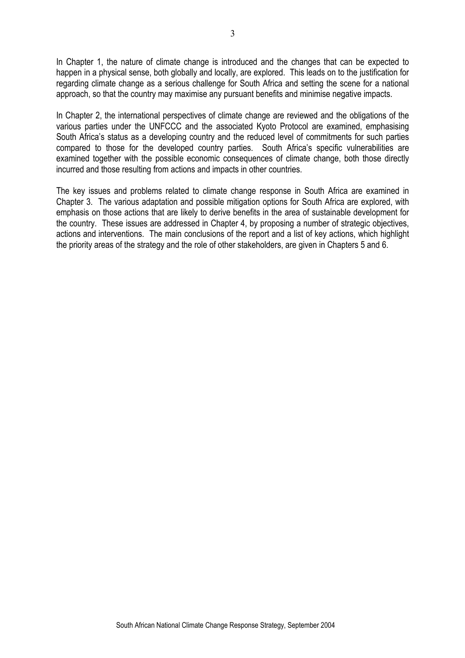In Chapter 1, the nature of climate change is introduced and the changes that can be expected to happen in a physical sense, both globally and locally, are explored. This leads on to the justification for regarding climate change as a serious challenge for South Africa and setting the scene for a national approach, so that the country may maximise any pursuant benefits and minimise negative impacts.

In Chapter 2, the international perspectives of climate change are reviewed and the obligations of the various parties under the UNFCCC and the associated Kyoto Protocol are examined, emphasising South Africa's status as a developing country and the reduced level of commitments for such parties compared to those for the developed country parties. South Africa's specific vulnerabilities are examined together with the possible economic consequences of climate change, both those directly incurred and those resulting from actions and impacts in other countries.

The key issues and problems related to climate change response in South Africa are examined in Chapter 3. The various adaptation and possible mitigation options for South Africa are explored, with emphasis on those actions that are likely to derive benefits in the area of sustainable development for the country. These issues are addressed in Chapter 4, by proposing a number of strategic objectives, actions and interventions. The main conclusions of the report and a list of key actions, which highlight the priority areas of the strategy and the role of other stakeholders, are given in Chapters 5 and 6.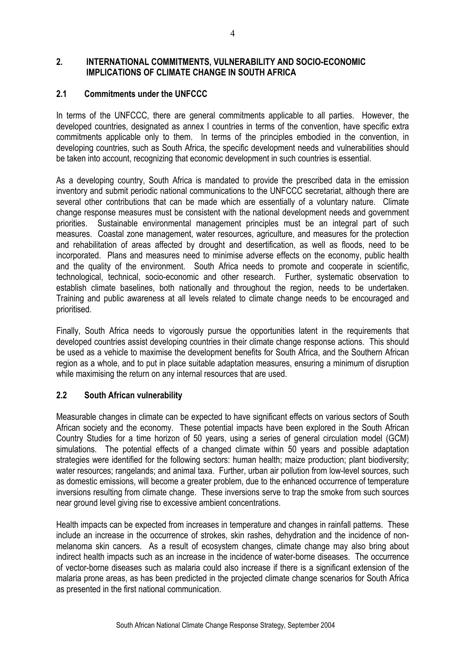#### **2. INTERNATIONAL COMMITMENTS, VULNERABILITY AND SOCIO-ECONOMIC IMPLICATIONS OF CLIMATE CHANGE IN SOUTH AFRICA**

## **2.1 Commitments under the UNFCCC**

In terms of the UNFCCC, there are general commitments applicable to all parties. However, the developed countries, designated as annex I countries in terms of the convention, have specific extra commitments applicable only to them. In terms of the principles embodied in the convention, in developing countries, such as South Africa, the specific development needs and vulnerabilities should be taken into account, recognizing that economic development in such countries is essential.

As a developing country, South Africa is mandated to provide the prescribed data in the emission inventory and submit periodic national communications to the UNFCCC secretariat, although there are several other contributions that can be made which are essentially of a voluntary nature. Climate change response measures must be consistent with the national development needs and government priorities. Sustainable environmental management principles must be an integral part of such measures. Coastal zone management, water resources, agriculture, and measures for the protection and rehabilitation of areas affected by drought and desertification, as well as floods, need to be incorporated. Plans and measures need to minimise adverse effects on the economy, public health and the quality of the environment. South Africa needs to promote and cooperate in scientific, technological, technical, socio-economic and other research. Further, systematic observation to establish climate baselines, both nationally and throughout the region, needs to be undertaken. Training and public awareness at all levels related to climate change needs to be encouraged and prioritised.

Finally, South Africa needs to vigorously pursue the opportunities latent in the requirements that developed countries assist developing countries in their climate change response actions. This should be used as a vehicle to maximise the development benefits for South Africa, and the Southern African region as a whole, and to put in place suitable adaptation measures, ensuring a minimum of disruption while maximising the return on any internal resources that are used.

## **2.2 South African vulnerability**

Measurable changes in climate can be expected to have significant effects on various sectors of South African society and the economy. These potential impacts have been explored in the South African Country Studies for a time horizon of 50 years, using a series of general circulation model (GCM) simulations. The potential effects of a changed climate within 50 years and possible adaptation strategies were identified for the following sectors: human health: maize production: plant biodiversity: water resources; rangelands; and animal taxa. Further, urban air pollution from low-level sources, such as domestic emissions, will become a greater problem, due to the enhanced occurrence of temperature inversions resulting from climate change. These inversions serve to trap the smoke from such sources near ground level giving rise to excessive ambient concentrations.

Health impacts can be expected from increases in temperature and changes in rainfall patterns. These include an increase in the occurrence of strokes, skin rashes, dehydration and the incidence of nonmelanoma skin cancers. As a result of ecosystem changes, climate change may also bring about indirect health impacts such as an increase in the incidence of water-borne diseases. The occurrence of vector-borne diseases such as malaria could also increase if there is a significant extension of the malaria prone areas, as has been predicted in the projected climate change scenarios for South Africa as presented in the first national communication.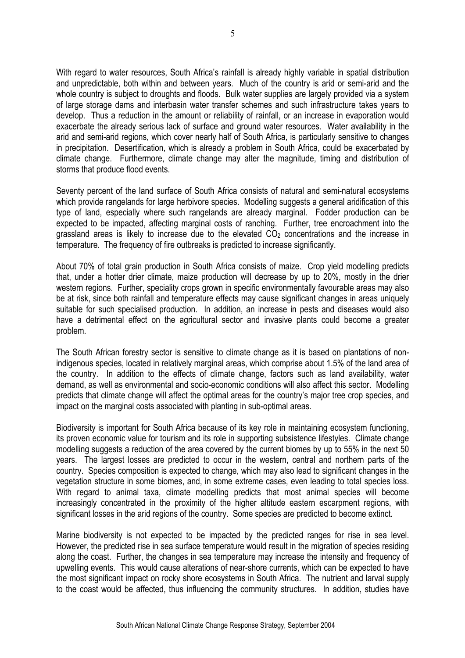With regard to water resources, South Africa's rainfall is already highly variable in spatial distribution and unpredictable, both within and between years. Much of the country is arid or semi-arid and the whole country is subject to droughts and floods. Bulk water supplies are largely provided via a system of large storage dams and interbasin water transfer schemes and such infrastructure takes years to develop. Thus a reduction in the amount or reliability of rainfall, or an increase in evaporation would exacerbate the already serious lack of surface and ground water resources. Water availability in the arid and semi-arid regions, which cover nearly half of South Africa, is particularly sensitive to changes in precipitation. Desertification, which is already a problem in South Africa, could be exacerbated by climate change. Furthermore, climate change may alter the magnitude, timing and distribution of storms that produce flood events.

Seventy percent of the land surface of South Africa consists of natural and semi-natural ecosystems which provide rangelands for large herbivore species. Modelling suggests a general aridification of this type of land, especially where such rangelands are already marginal. Fodder production can be expected to be impacted, affecting marginal costs of ranching. Further, tree encroachment into the grassland areas is likely to increase due to the elevated  $CO<sub>2</sub>$  concentrations and the increase in temperature. The frequency of fire outbreaks is predicted to increase significantly.

About 70% of total grain production in South Africa consists of maize. Crop yield modelling predicts that, under a hotter drier climate, maize production will decrease by up to 20%, mostly in the drier western regions. Further, speciality crops grown in specific environmentally favourable areas may also be at risk, since both rainfall and temperature effects may cause significant changes in areas uniquely suitable for such specialised production. In addition, an increase in pests and diseases would also have a detrimental effect on the agricultural sector and invasive plants could become a greater problem.

The South African forestry sector is sensitive to climate change as it is based on plantations of nonindigenous species, located in relatively marginal areas, which comprise about 1.5% of the land area of the country. In addition to the effects of climate change, factors such as land availability, water demand, as well as environmental and socio-economic conditions will also affect this sector. Modelling predicts that climate change will affect the optimal areas for the country's major tree crop species, and impact on the marginal costs associated with planting in sub-optimal areas.

Biodiversity is important for South Africa because of its key role in maintaining ecosystem functioning, its proven economic value for tourism and its role in supporting subsistence lifestyles. Climate change modelling suggests a reduction of the area covered by the current biomes by up to 55% in the next 50 years. The largest losses are predicted to occur in the western, central and northern parts of the country. Species composition is expected to change, which may also lead to significant changes in the vegetation structure in some biomes, and, in some extreme cases, even leading to total species loss. With regard to animal taxa, climate modelling predicts that most animal species will become increasingly concentrated in the proximity of the higher altitude eastern escarpment regions, with significant losses in the arid regions of the country. Some species are predicted to become extinct.

Marine biodiversity is not expected to be impacted by the predicted ranges for rise in sea level. However, the predicted rise in sea surface temperature would result in the migration of species residing along the coast. Further, the changes in sea temperature may increase the intensity and frequency of upwelling events. This would cause alterations of near-shore currents, which can be expected to have the most significant impact on rocky shore ecosystems in South Africa. The nutrient and larval supply to the coast would be affected, thus influencing the community structures. In addition, studies have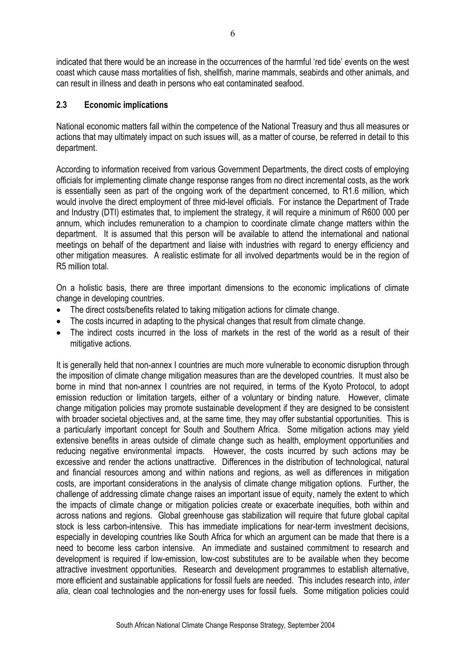indicated that there would be an increase in the occurrences of the harmful 'red tide' events on the west coast which cause mass mortalities of fish, shellfish, marine mammals, seabirds and other animals, and can result in illness and death in persons who eat contaminated seafood.

#### **2.3 Economic implications**

National economic matters fall within the competence of the National Treasury and thus all measures or actions that may ultimately impact on such issues will, as a matter of course, be referred in detail to this department.

According to information received from various Government Departments, the direct costs of employing officials for implementing climate change response ranges from no direct incremental costs, as the work is essentially seen as part of the ongoing work of the department concerned, to R1.6 million, which would involve the direct employment of three mid-level officials. For instance the Department of Trade and Industry (DTI) estimates that, to implement the strategy, it will require a minimum of R600 000 per annum, which includes remuneration to a champion to coordinate climate change matters within the department. It is assumed that this person will be available to attend the international and national meetings on behalf of the department and liaise with industries with regard to energy efficiency and other mitigation measures. A realistic estimate for all involved departments would be in the region of R5 million total.

On a holistic basis, there are three important dimensions to the economic implications of climate change in developing countries.

- The direct costs/benefits related to taking mitigation actions for climate change.
- The costs incurred in adapting to the physical changes that result from climate change.
- The indirect costs incurred in the loss of markets in the rest of the world as a result of their mitigative actions.

It is generally held that non-annex I countries are much more vulnerable to economic disruption through the imposition of climate change mitigation measures than are the developed countries. It must also be borne in mind that non-annex I countries are not required, in terms of the Kyoto Protocol, to adopt emission reduction or limitation targets, either of a voluntary or binding nature. However, climate change mitigation policies may promote sustainable development if they are designed to be consistent with broader societal objectives and, at the same time, they may offer substantial opportunities. This is a particularly important concept for South and Southern Africa. Some mitigation actions may yield extensive benefits in areas outside of climate change such as health, employment opportunities and reducing negative environmental impacts. However, the costs incurred by such actions may be excessive and render the actions unattractive. Differences in the distribution of technological, natural and financial resources among and within nations and regions, as well as differences in mitigation costs, are important considerations in the analysis of climate change mitigation options. Further, the challenge of addressing climate change raises an important issue of equity, namely the extent to which the impacts of climate change or mitigation policies create or exacerbate inequities, both within and across nations and regions. Global greenhouse gas stabilization will require that future global capital stock is less carbon-intensive. This has immediate implications for near-term investment decisions, especially in developing countries like South Africa for which an argument can be made that there is a need to become less carbon intensive. An immediate and sustained commitment to research and development is required if low-emission, low-cost substitutes are to be available when they become attractive investment opportunities. Research and development programmes to establish alternative, more efficient and sustainable applications for fossil fuels are needed. This includes research into, *inter alia*, clean coal technologies and the non-energy uses for fossil fuels. Some mitigation policies could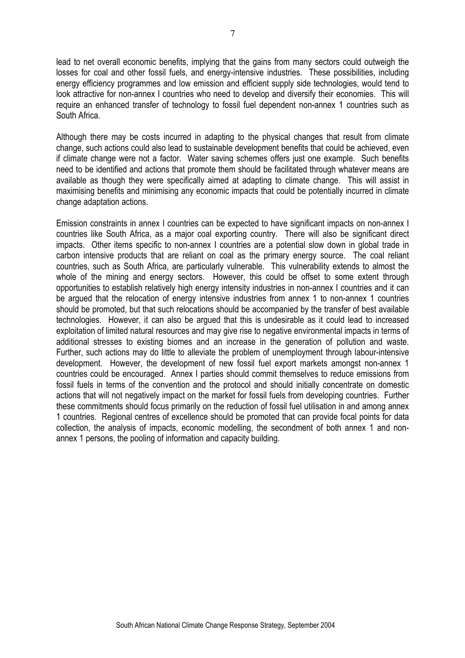lead to net overall economic benefits, implying that the gains from many sectors could outweigh the losses for coal and other fossil fuels, and energy-intensive industries. These possibilities, including energy efficiency programmes and low emission and efficient supply side technologies, would tend to look attractive for non-annex I countries who need to develop and diversify their economies. This will require an enhanced transfer of technology to fossil fuel dependent non-annex 1 countries such as South Africa.

Although there may be costs incurred in adapting to the physical changes that result from climate change, such actions could also lead to sustainable development benefits that could be achieved, even if climate change were not a factor. Water saving schemes offers just one example. Such benefits need to be identified and actions that promote them should be facilitated through whatever means are available as though they were specifically aimed at adapting to climate change. This will assist in maximising benefits and minimising any economic impacts that could be potentially incurred in climate change adaptation actions.

Emission constraints in annex I countries can be expected to have significant impacts on non-annex I countries like South Africa, as a major coal exporting country. There will also be significant direct impacts. Other items specific to non-annex I countries are a potential slow down in global trade in carbon intensive products that are reliant on coal as the primary energy source. The coal reliant countries, such as South Africa, are particularly vulnerable. This vulnerability extends to almost the whole of the mining and energy sectors. However, this could be offset to some extent through opportunities to establish relatively high energy intensity industries in non-annex I countries and it can be argued that the relocation of energy intensive industries from annex 1 to non-annex 1 countries should be promoted, but that such relocations should be accompanied by the transfer of best available technologies. However, it can also be argued that this is undesirable as it could lead to increased exploitation of limited natural resources and may give rise to negative environmental impacts in terms of additional stresses to existing biomes and an increase in the generation of pollution and waste. Further, such actions may do little to alleviate the problem of unemployment through labour-intensive development. However, the development of new fossil fuel export markets amongst non-annex 1 countries could be encouraged. Annex I parties should commit themselves to reduce emissions from fossil fuels in terms of the convention and the protocol and should initially concentrate on domestic actions that will not negatively impact on the market for fossil fuels from developing countries. Further these commitments should focus primarily on the reduction of fossil fuel utilisation in and among annex 1 countries. Regional centres of excellence should be promoted that can provide focal points for data collection, the analysis of impacts, economic modelling, the secondment of both annex 1 and nonannex 1 persons, the pooling of information and capacity building.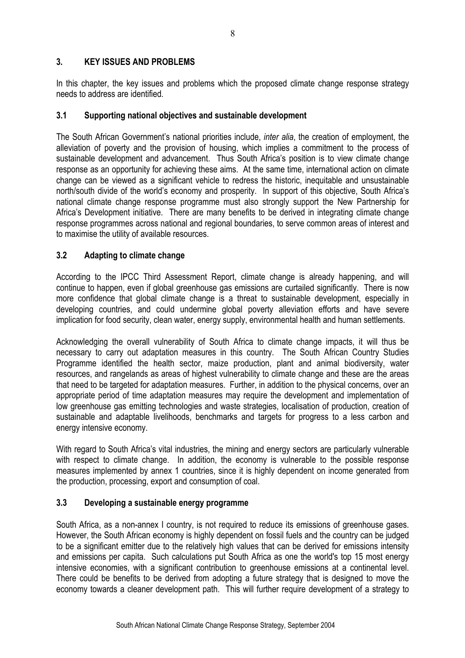## **3. KEY ISSUES AND PROBLEMS**

In this chapter, the key issues and problems which the proposed climate change response strategy needs to address are identified.

## **3.1 Supporting national objectives and sustainable development**

The South African Government's national priorities include, *inter alia*, the creation of employment, the alleviation of poverty and the provision of housing, which implies a commitment to the process of sustainable development and advancement. Thus South Africa's position is to view climate change response as an opportunity for achieving these aims. At the same time, international action on climate change can be viewed as a significant vehicle to redress the historic, inequitable and unsustainable north/south divide of the world's economy and prosperity. In support of this objective, South Africa's national climate change response programme must also strongly support the New Partnership for Africa's Development initiative. There are many benefits to be derived in integrating climate change response programmes across national and regional boundaries, to serve common areas of interest and to maximise the utility of available resources.

# **3.2 Adapting to climate change**

According to the IPCC Third Assessment Report, climate change is already happening, and will continue to happen, even if global greenhouse gas emissions are curtailed significantly. There is now more confidence that global climate change is a threat to sustainable development, especially in developing countries, and could undermine global poverty alleviation efforts and have severe implication for food security, clean water, energy supply, environmental health and human settlements.

Acknowledging the overall vulnerability of South Africa to climate change impacts, it will thus be necessary to carry out adaptation measures in this country. The South African Country Studies Programme identified the health sector, maize production, plant and animal biodiversity, water resources, and rangelands as areas of highest vulnerability to climate change and these are the areas that need to be targeted for adaptation measures. Further, in addition to the physical concerns, over an appropriate period of time adaptation measures may require the development and implementation of low greenhouse gas emitting technologies and waste strategies, localisation of production, creation of sustainable and adaptable livelihoods, benchmarks and targets for progress to a less carbon and energy intensive economy.

With regard to South Africa's vital industries, the mining and energy sectors are particularly vulnerable with respect to climate change. In addition, the economy is vulnerable to the possible response measures implemented by annex 1 countries, since it is highly dependent on income generated from the production, processing, export and consumption of coal.

# **3.3 Developing a sustainable energy programme**

South Africa, as a non-annex I country, is not required to reduce its emissions of greenhouse gases. However, the South African economy is highly dependent on fossil fuels and the country can be judged to be a significant emitter due to the relatively high values that can be derived for emissions intensity and emissions per capita. Such calculations put South Africa as one the world's top 15 most energy intensive economies, with a significant contribution to greenhouse emissions at a continental level. There could be benefits to be derived from adopting a future strategy that is designed to move the economy towards a cleaner development path. This will further require development of a strategy to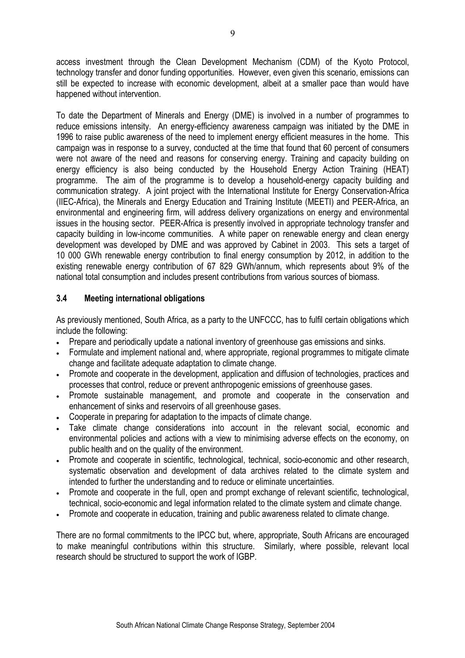access investment through the Clean Development Mechanism (CDM) of the Kyoto Protocol, technology transfer and donor funding opportunities. However, even given this scenario, emissions can still be expected to increase with economic development, albeit at a smaller pace than would have happened without intervention.

To date the Department of Minerals and Energy (DME) is involved in a number of programmes to reduce emissions intensity. An energy-efficiency awareness campaign was initiated by the DME in 1996 to raise public awareness of the need to implement energy efficient measures in the home. This campaign was in response to a survey, conducted at the time that found that 60 percent of consumers were not aware of the need and reasons for conserving energy. Training and capacity building on energy efficiency is also being conducted by the Household Energy Action Training (HEAT) programme. The aim of the programme is to develop a household-energy capacity building and communication strategy. A joint project with the International Institute for Energy Conservation-Africa (IIEC-Africa), the Minerals and Energy Education and Training Institute (MEETI) and PEER-Africa, an environmental and engineering firm, will address delivery organizations on energy and environmental issues in the housing sector. PEER-Africa is presently involved in appropriate technology transfer and capacity building in low-income communities. A white paper on renewable energy and clean energy development was developed by DME and was approved by Cabinet in 2003. This sets a target of 10 000 GWh renewable energy contribution to final energy consumption by 2012, in addition to the existing renewable energy contribution of 67 829 GWh/annum, which represents about 9% of the national total consumption and includes present contributions from various sources of biomass.

## **3.4 Meeting international obligations**

As previously mentioned, South Africa, as a party to the UNFCCC, has to fulfil certain obligations which include the following:

- Prepare and periodically update a national inventory of greenhouse gas emissions and sinks.
- Formulate and implement national and, where appropriate, regional programmes to mitigate climate change and facilitate adequate adaptation to climate change.
- Promote and cooperate in the development, application and diffusion of technologies, practices and processes that control, reduce or prevent anthropogenic emissions of greenhouse gases.
- Promote sustainable management, and promote and cooperate in the conservation and enhancement of sinks and reservoirs of all greenhouse gases.
- Cooperate in preparing for adaptation to the impacts of climate change.
- Take climate change considerations into account in the relevant social, economic and environmental policies and actions with a view to minimising adverse effects on the economy, on public health and on the quality of the environment.
- Promote and cooperate in scientific, technological, technical, socio-economic and other research, systematic observation and development of data archives related to the climate system and intended to further the understanding and to reduce or eliminate uncertainties.
- Promote and cooperate in the full, open and prompt exchange of relevant scientific, technological, technical, socio-economic and legal information related to the climate system and climate change.
- Promote and cooperate in education, training and public awareness related to climate change.

There are no formal commitments to the IPCC but, where, appropriate, South Africans are encouraged to make meaningful contributions within this structure. Similarly, where possible, relevant local research should be structured to support the work of IGBP.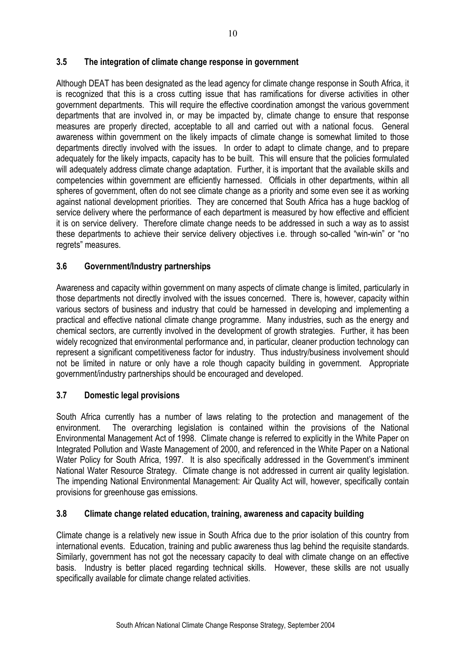## **3.5 The integration of climate change response in government**

Although DEAT has been designated as the lead agency for climate change response in South Africa, it is recognized that this is a cross cutting issue that has ramifications for diverse activities in other government departments. This will require the effective coordination amongst the various government departments that are involved in, or may be impacted by, climate change to ensure that response measures are properly directed, acceptable to all and carried out with a national focus. General awareness within government on the likely impacts of climate change is somewhat limited to those departments directly involved with the issues. In order to adapt to climate change, and to prepare adequately for the likely impacts, capacity has to be built. This will ensure that the policies formulated will adequately address climate change adaptation. Further, it is important that the available skills and competencies within government are efficiently harnessed. Officials in other departments, within all spheres of government, often do not see climate change as a priority and some even see it as working against national development priorities. They are concerned that South Africa has a huge backlog of service delivery where the performance of each department is measured by how effective and efficient it is on service delivery. Therefore climate change needs to be addressed in such a way as to assist these departments to achieve their service delivery objectives i.e. through so-called "win-win" or "no regrets" measures.

# **3.6 Government/Industry partnerships**

Awareness and capacity within government on many aspects of climate change is limited, particularly in those departments not directly involved with the issues concerned. There is, however, capacity within various sectors of business and industry that could be harnessed in developing and implementing a practical and effective national climate change programme. Many industries, such as the energy and chemical sectors, are currently involved in the development of growth strategies. Further, it has been widely recognized that environmental performance and, in particular, cleaner production technology can represent a significant competitiveness factor for industry. Thus industry/business involvement should not be limited in nature or only have a role though capacity building in government. Appropriate government/industry partnerships should be encouraged and developed.

## **3.7 Domestic legal provisions**

South Africa currently has a number of laws relating to the protection and management of the environment. The overarching legislation is contained within the provisions of the National Environmental Management Act of 1998. Climate change is referred to explicitly in the White Paper on Integrated Pollution and Waste Management of 2000, and referenced in the White Paper on a National Water Policy for South Africa, 1997. It is also specifically addressed in the Government's imminent National Water Resource Strategy. Climate change is not addressed in current air quality legislation. The impending National Environmental Management: Air Quality Act will, however, specifically contain provisions for greenhouse gas emissions.

## **3.8 Climate change related education, training, awareness and capacity building**

Climate change is a relatively new issue in South Africa due to the prior isolation of this country from international events. Education, training and public awareness thus lag behind the requisite standards. Similarly, government has not got the necessary capacity to deal with climate change on an effective basis. Industry is better placed regarding technical skills. However, these skills are not usually specifically available for climate change related activities.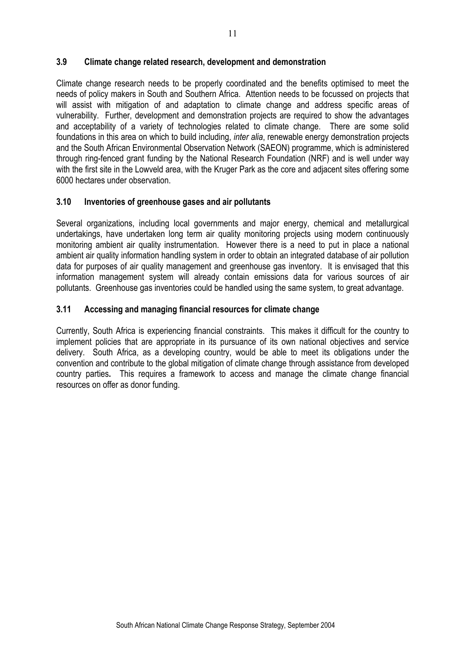#### **3.9 Climate change related research, development and demonstration**

Climate change research needs to be properly coordinated and the benefits optimised to meet the needs of policy makers in South and Southern Africa. Attention needs to be focussed on projects that will assist with mitigation of and adaptation to climate change and address specific areas of vulnerability. Further, development and demonstration projects are required to show the advantages and acceptability of a variety of technologies related to climate change. There are some solid foundations in this area on which to build including, *inter alia*, renewable energy demonstration projects and the South African Environmental Observation Network (SAEON) programme, which is administered through ring-fenced grant funding by the National Research Foundation (NRF) and is well under way with the first site in the Lowveld area, with the Kruger Park as the core and adjacent sites offering some 6000 hectares under observation.

#### **3.10 Inventories of greenhouse gases and air pollutants**

Several organizations, including local governments and major energy, chemical and metallurgical undertakings, have undertaken long term air quality monitoring projects using modern continuously monitoring ambient air quality instrumentation. However there is a need to put in place a national ambient air quality information handling system in order to obtain an integrated database of air pollution data for purposes of air quality management and greenhouse gas inventory. It is envisaged that this information management system will already contain emissions data for various sources of air pollutants. Greenhouse gas inventories could be handled using the same system, to great advantage.

## **3.11 Accessing and managing financial resources for climate change**

Currently, South Africa is experiencing financial constraints. This makes it difficult for the country to implement policies that are appropriate in its pursuance of its own national objectives and service delivery. South Africa, as a developing country, would be able to meet its obligations under the convention and contribute to the global mitigation of climate change through assistance from developed country parties**.** This requires a framework to access and manage the climate change financial resources on offer as donor funding.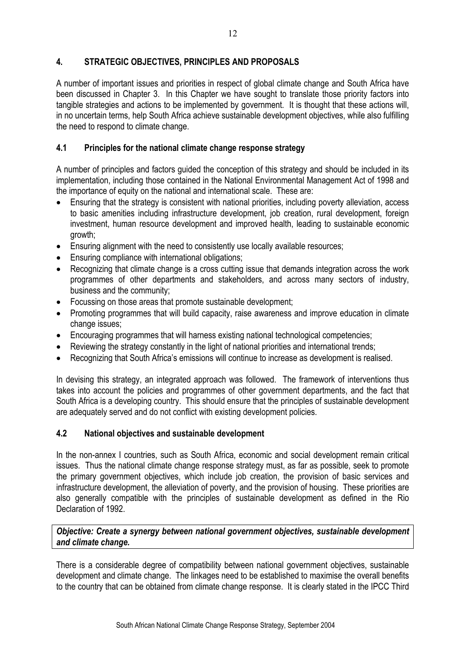# **4. STRATEGIC OBJECTIVES, PRINCIPLES AND PROPOSALS**

A number of important issues and priorities in respect of global climate change and South Africa have been discussed in Chapter 3. In this Chapter we have sought to translate those priority factors into tangible strategies and actions to be implemented by government. It is thought that these actions will, in no uncertain terms, help South Africa achieve sustainable development objectives, while also fulfilling the need to respond to climate change.

## **4.1 Principles for the national climate change response strategy**

A number of principles and factors guided the conception of this strategy and should be included in its implementation, including those contained in the National Environmental Management Act of 1998 and the importance of equity on the national and international scale. These are:

- Ensuring that the strategy is consistent with national priorities, including poverty alleviation, access to basic amenities including infrastructure development, job creation, rural development, foreign investment, human resource development and improved health, leading to sustainable economic growth;
- Ensuring alignment with the need to consistently use locally available resources:
- Ensuring compliance with international obligations;
- Recognizing that climate change is a cross cutting issue that demands integration across the work programmes of other departments and stakeholders, and across many sectors of industry, business and the community;
- Focussing on those areas that promote sustainable development;
- Promoting programmes that will build capacity, raise awareness and improve education in climate change issues:
- Encouraging programmes that will harness existing national technological competencies;
- Reviewing the strategy constantly in the light of national priorities and international trends:
- Recognizing that South Africa's emissions will continue to increase as development is realised.

In devising this strategy, an integrated approach was followed. The framework of interventions thus takes into account the policies and programmes of other government departments, and the fact that South Africa is a developing country. This should ensure that the principles of sustainable development are adequately served and do not conflict with existing development policies.

## **4.2 National objectives and sustainable development**

In the non-annex I countries, such as South Africa, economic and social development remain critical issues. Thus the national climate change response strategy must, as far as possible, seek to promote the primary government objectives, which include job creation, the provision of basic services and infrastructure development, the alleviation of poverty, and the provision of housing. These priorities are also generally compatible with the principles of sustainable development as defined in the Rio Declaration of 1992.

#### *Objective: Create a synergy between national government objectives, sustainable development and climate change.*

There is a considerable degree of compatibility between national government objectives, sustainable development and climate change. The linkages need to be established to maximise the overall benefits to the country that can be obtained from climate change response. It is clearly stated in the IPCC Third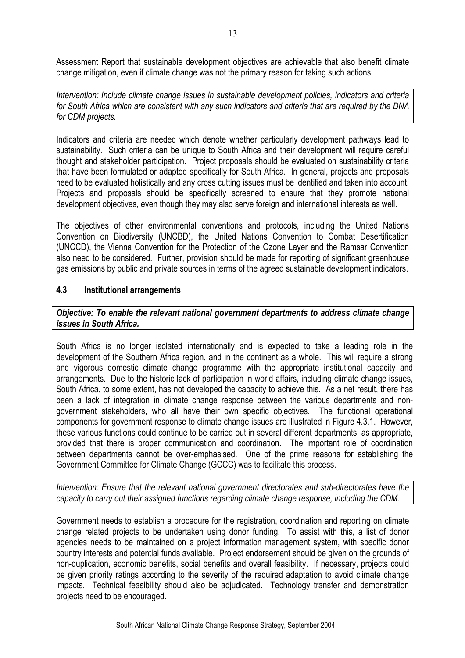Assessment Report that sustainable development objectives are achievable that also benefit climate change mitigation, even if climate change was not the primary reason for taking such actions.

*Intervention: Include climate change issues in sustainable development policies, indicators and criteria for South Africa which are consistent with any such indicators and criteria that are required by the DNA for CDM projects.* 

Indicators and criteria are needed which denote whether particularly development pathways lead to sustainability. Such criteria can be unique to South Africa and their development will require careful thought and stakeholder participation. Project proposals should be evaluated on sustainability criteria that have been formulated or adapted specifically for South Africa. In general, projects and proposals need to be evaluated holistically and any cross cutting issues must be identified and taken into account. Projects and proposals should be specifically screened to ensure that they promote national development objectives, even though they may also serve foreign and international interests as well.

The objectives of other environmental conventions and protocols, including the United Nations Convention on Biodiversity (UNCBD), the United Nations Convention to Combat Desertification (UNCCD), the Vienna Convention for the Protection of the Ozone Layer and the Ramsar Convention also need to be considered. Further, provision should be made for reporting of significant greenhouse gas emissions by public and private sources in terms of the agreed sustainable development indicators.

## **4.3 Institutional arrangements**

*Objective: To enable the relevant national government departments to address climate change issues in South Africa.* 

South Africa is no longer isolated internationally and is expected to take a leading role in the development of the Southern Africa region, and in the continent as a whole. This will require a strong and vigorous domestic climate change programme with the appropriate institutional capacity and arrangements. Due to the historic lack of participation in world affairs, including climate change issues, South Africa, to some extent, has not developed the capacity to achieve this. As a net result, there has been a lack of integration in climate change response between the various departments and nongovernment stakeholders, who all have their own specific objectives. The functional operational components for government response to climate change issues are illustrated in Figure 4.3.1. However, these various functions could continue to be carried out in several different departments, as appropriate, provided that there is proper communication and coordination. The important role of coordination between departments cannot be over-emphasised. One of the prime reasons for establishing the Government Committee for Climate Change (GCCC) was to facilitate this process.

*Intervention: Ensure that the relevant national government directorates and sub-directorates have the capacity to carry out their assigned functions regarding climate change response, including the CDM.* 

Government needs to establish a procedure for the registration, coordination and reporting on climate change related projects to be undertaken using donor funding. To assist with this, a list of donor agencies needs to be maintained on a project information management system, with specific donor country interests and potential funds available. Project endorsement should be given on the grounds of non-duplication, economic benefits, social benefits and overall feasibility. If necessary, projects could be given priority ratings according to the severity of the required adaptation to avoid climate change impacts. Technical feasibility should also be adjudicated. Technology transfer and demonstration projects need to be encouraged.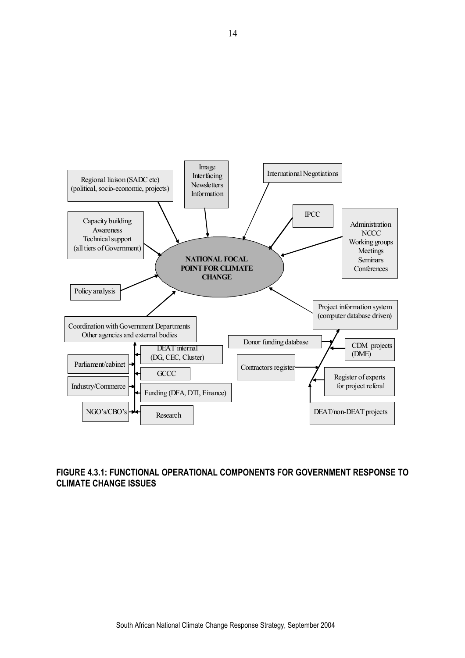

## **FIGURE 4.3.1: FUNCTIONAL OPERATIONAL COMPONENTS FOR GOVERNMENT RESPONSE TO CLIMATE CHANGE ISSUES**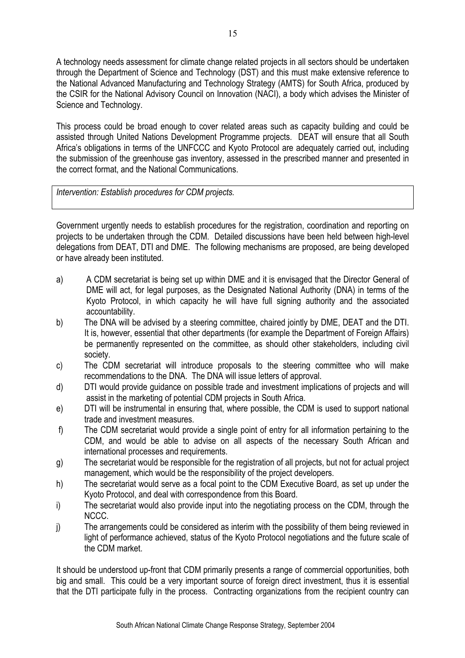A technology needs assessment for climate change related projects in all sectors should be undertaken through the Department of Science and Technology (DST) and this must make extensive reference to the National Advanced Manufacturing and Technology Strategy (AMTS) for South Africa, produced by the CSIR for the National Advisory Council on Innovation (NACI), a body which advises the Minister of Science and Technology.

This process could be broad enough to cover related areas such as capacity building and could be assisted through United Nations Development Programme projects. DEAT will ensure that all South Africa's obligations in terms of the UNFCCC and Kyoto Protocol are adequately carried out, including the submission of the greenhouse gas inventory, assessed in the prescribed manner and presented in the correct format, and the National Communications.

*Intervention: Establish procedures for CDM projects.* 

Government urgently needs to establish procedures for the registration, coordination and reporting on projects to be undertaken through the CDM. Detailed discussions have been held between high-level delegations from DEAT, DTI and DME. The following mechanisms are proposed, are being developed or have already been instituted.

- a) A CDM secretariat is being set up within DME and it is envisaged that the Director General of DME will act, for legal purposes, as the Designated National Authority (DNA) in terms of the Kyoto Protocol, in which capacity he will have full signing authority and the associated accountability.
- b) The DNA will be advised by a steering committee, chaired jointly by DME, DEAT and the DTI. It is, however, essential that other departments (for example the Department of Foreign Affairs) be permanently represented on the committee, as should other stakeholders, including civil society.
- c) The CDM secretariat will introduce proposals to the steering committee who will make recommendations to the DNA. The DNA will issue letters of approval.
- d) DTI would provide guidance on possible trade and investment implications of projects and will assist in the marketing of potential CDM projects in South Africa.
- e) DTI will be instrumental in ensuring that, where possible, the CDM is used to support national trade and investment measures.
- f) The CDM secretariat would provide a single point of entry for all information pertaining to the CDM, and would be able to advise on all aspects of the necessary South African and international processes and requirements.
- g) The secretariat would be responsible for the registration of all projects, but not for actual project management, which would be the responsibility of the project developers.
- h) The secretariat would serve as a focal point to the CDM Executive Board, as set up under the Kyoto Protocol, and deal with correspondence from this Board.
- i) The secretariat would also provide input into the negotiating process on the CDM, through the NCCC.
- j) The arrangements could be considered as interim with the possibility of them being reviewed in light of performance achieved, status of the Kyoto Protocol negotiations and the future scale of the CDM market.

It should be understood up-front that CDM primarily presents a range of commercial opportunities, both big and small. This could be a very important source of foreign direct investment, thus it is essential that the DTI participate fully in the process. Contracting organizations from the recipient country can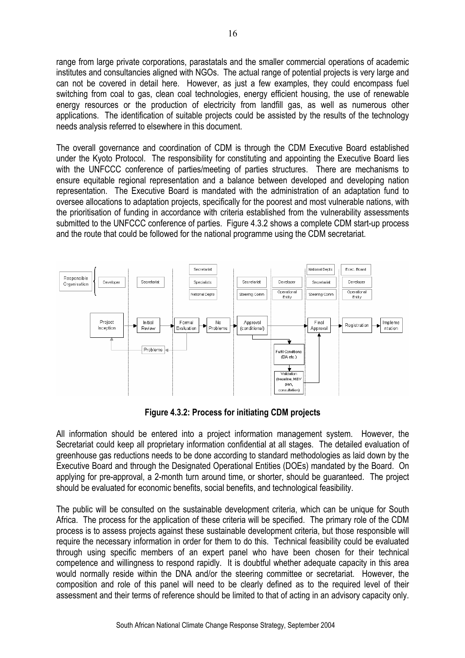range from large private corporations, parastatals and the smaller commercial operations of academic institutes and consultancies aligned with NGOs. The actual range of potential projects is very large and can not be covered in detail here. However, as just a few examples, they could encompass fuel switching from coal to gas, clean coal technologies, energy efficient housing, the use of renewable energy resources or the production of electricity from landfill gas, as well as numerous other applications. The identification of suitable projects could be assisted by the results of the technology needs analysis referred to elsewhere in this document.

The overall governance and coordination of CDM is through the CDM Executive Board established under the Kyoto Protocol. The responsibility for constituting and appointing the Executive Board lies with the UNFCCC conference of parties/meeting of parties structures. There are mechanisms to ensure equitable regional representation and a balance between developed and developing nation representation. The Executive Board is mandated with the administration of an adaptation fund to oversee allocations to adaptation projects, specifically for the poorest and most vulnerable nations, with the prioritisation of funding in accordance with criteria established from the vulnerability assessments submitted to the UNFCCC conference of parties. Figure 4.3.2 shows a complete CDM start-up process and the route that could be followed for the national programme using the CDM secretariat.



**Figure 4.3.2: Process for initiating CDM projects**

All information should be entered into a project information management system. However, the Secretariat could keep all proprietary information confidential at all stages. The detailed evaluation of greenhouse gas reductions needs to be done according to standard methodologies as laid down by the Executive Board and through the Designated Operational Entities (DOEs) mandated by the Board. On applying for pre-approval, a 2-month turn around time, or shorter, should be guaranteed. The project should be evaluated for economic benefits, social benefits, and technological feasibility.

The public will be consulted on the sustainable development criteria, which can be unique for South Africa. The process for the application of these criteria will be specified. The primary role of the CDM process is to assess projects against these sustainable development criteria, but those responsible will require the necessary information in order for them to do this. Technical feasibility could be evaluated through using specific members of an expert panel who have been chosen for their technical competence and willingness to respond rapidly. It is doubtful whether adequate capacity in this area would normally reside within the DNA and/or the steering committee or secretariat. However, the composition and role of this panel will need to be clearly defined as to the required level of their assessment and their terms of reference should be limited to that of acting in an advisory capacity only.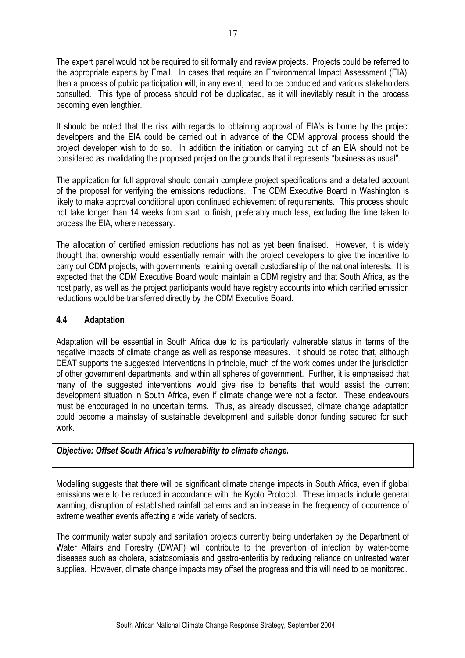The expert panel would not be required to sit formally and review projects. Projects could be referred to the appropriate experts by Email. In cases that require an Environmental Impact Assessment (EIA), then a process of public participation will, in any event, need to be conducted and various stakeholders consulted. This type of process should not be duplicated, as it will inevitably result in the process becoming even lengthier.

It should be noted that the risk with regards to obtaining approval of EIA's is borne by the project developers and the EIA could be carried out in advance of the CDM approval process should the project developer wish to do so. In addition the initiation or carrying out of an EIA should not be considered as invalidating the proposed project on the grounds that it represents "business as usual".

The application for full approval should contain complete project specifications and a detailed account of the proposal for verifying the emissions reductions. The CDM Executive Board in Washington is likely to make approval conditional upon continued achievement of requirements. This process should not take longer than 14 weeks from start to finish, preferably much less, excluding the time taken to process the EIA, where necessary.

The allocation of certified emission reductions has not as yet been finalised. However, it is widely thought that ownership would essentially remain with the project developers to give the incentive to carry out CDM projects, with governments retaining overall custodianship of the national interests. It is expected that the CDM Executive Board would maintain a CDM registry and that South Africa, as the host party, as well as the project participants would have registry accounts into which certified emission reductions would be transferred directly by the CDM Executive Board.

# **4.4 Adaptation**

Adaptation will be essential in South Africa due to its particularly vulnerable status in terms of the negative impacts of climate change as well as response measures. It should be noted that, although DEAT supports the suggested interventions in principle, much of the work comes under the jurisdiction of other government departments, and within all spheres of government. Further, it is emphasised that many of the suggested interventions would give rise to benefits that would assist the current development situation in South Africa, even if climate change were not a factor. These endeavours must be encouraged in no uncertain terms. Thus, as already discussed, climate change adaptation could become a mainstay of sustainable development and suitable donor funding secured for such work.

## *Objective: Offset South Africa's vulnerability to climate change.*

Modelling suggests that there will be significant climate change impacts in South Africa, even if global emissions were to be reduced in accordance with the Kyoto Protocol. These impacts include general warming, disruption of established rainfall patterns and an increase in the frequency of occurrence of extreme weather events affecting a wide variety of sectors.

The community water supply and sanitation projects currently being undertaken by the Department of Water Affairs and Forestry (DWAF) will contribute to the prevention of infection by water-borne diseases such as cholera, scistosomiasis and gastro-enteritis by reducing reliance on untreated water supplies. However, climate change impacts may offset the progress and this will need to be monitored.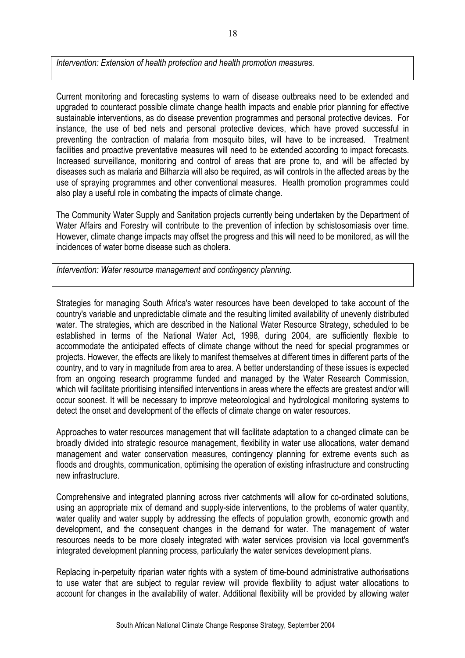*Intervention: Extension of health protection and health promotion measures.* 

Current monitoring and forecasting systems to warn of disease outbreaks need to be extended and upgraded to counteract possible climate change health impacts and enable prior planning for effective sustainable interventions, as do disease prevention programmes and personal protective devices. For instance, the use of bed nets and personal protective devices, which have proved successful in preventing the contraction of malaria from mosquito bites, will have to be increased. Treatment facilities and proactive preventative measures will need to be extended according to impact forecasts. Increased surveillance, monitoring and control of areas that are prone to, and will be affected by diseases such as malaria and Bilharzia will also be required, as will controls in the affected areas by the use of spraying programmes and other conventional measures. Health promotion programmes could also play a useful role in combating the impacts of climate change.

The Community Water Supply and Sanitation projects currently being undertaken by the Department of Water Affairs and Forestry will contribute to the prevention of infection by schistosomiasis over time. However, climate change impacts may offset the progress and this will need to be monitored, as will the incidences of water borne disease such as cholera.

*Intervention: Water resource management and contingency planning.* 

Strategies for managing South Africa's water resources have been developed to take account of the country's variable and unpredictable climate and the resulting limited availability of unevenly distributed water. The strategies, which are described in the National Water Resource Strategy, scheduled to be established in terms of the National Water Act, 1998, during 2004, are sufficiently flexible to accommodate the anticipated effects of climate change without the need for special programmes or projects. However, the effects are likely to manifest themselves at different times in different parts of the country, and to vary in magnitude from area to area. A better understanding of these issues is expected from an ongoing research programme funded and managed by the Water Research Commission, which will facilitate prioritising intensified interventions in areas where the effects are greatest and/or will occur soonest. It will be necessary to improve meteorological and hydrological monitoring systems to detect the onset and development of the effects of climate change on water resources.

Approaches to water resources management that will facilitate adaptation to a changed climate can be broadly divided into strategic resource management, flexibility in water use allocations, water demand management and water conservation measures, contingency planning for extreme events such as floods and droughts, communication, optimising the operation of existing infrastructure and constructing new infrastructure.

Comprehensive and integrated planning across river catchments will allow for co-ordinated solutions, using an appropriate mix of demand and supply-side interventions, to the problems of water quantity, water quality and water supply by addressing the effects of population growth, economic growth and development, and the consequent changes in the demand for water. The management of water resources needs to be more closely integrated with water services provision via local government's integrated development planning process, particularly the water services development plans.

Replacing in-perpetuity riparian water rights with a system of time-bound administrative authorisations to use water that are subject to regular review will provide flexibility to adjust water allocations to account for changes in the availability of water. Additional flexibility will be provided by allowing water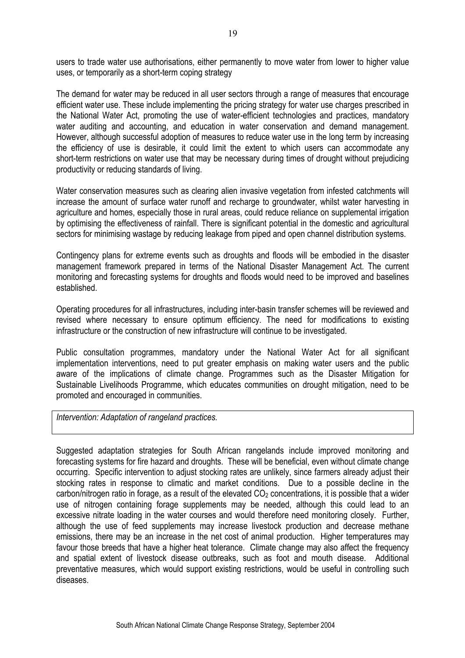users to trade water use authorisations, either permanently to move water from lower to higher value uses, or temporarily as a short-term coping strategy

The demand for water may be reduced in all user sectors through a range of measures that encourage efficient water use. These include implementing the pricing strategy for water use charges prescribed in the National Water Act, promoting the use of water-efficient technologies and practices, mandatory water auditing and accounting, and education in water conservation and demand management. However, although successful adoption of measures to reduce water use in the long term by increasing the efficiency of use is desirable, it could limit the extent to which users can accommodate any short-term restrictions on water use that may be necessary during times of drought without prejudicing productivity or reducing standards of living.

Water conservation measures such as clearing alien invasive vegetation from infested catchments will increase the amount of surface water runoff and recharge to groundwater, whilst water harvesting in agriculture and homes, especially those in rural areas, could reduce reliance on supplemental irrigation by optimising the effectiveness of rainfall. There is significant potential in the domestic and agricultural sectors for minimising wastage by reducing leakage from piped and open channel distribution systems.

Contingency plans for extreme events such as droughts and floods will be embodied in the disaster management framework prepared in terms of the National Disaster Management Act. The current monitoring and forecasting systems for droughts and floods would need to be improved and baselines established.

Operating procedures for all infrastructures, including inter-basin transfer schemes will be reviewed and revised where necessary to ensure optimum efficiency. The need for modifications to existing infrastructure or the construction of new infrastructure will continue to be investigated.

Public consultation programmes, mandatory under the National Water Act for all significant implementation interventions, need to put greater emphasis on making water users and the public aware of the implications of climate change. Programmes such as the Disaster Mitigation for Sustainable Livelihoods Programme, which educates communities on drought mitigation, need to be promoted and encouraged in communities.

*Intervention: Adaptation of rangeland practices.* 

Suggested adaptation strategies for South African rangelands include improved monitoring and forecasting systems for fire hazard and droughts. These will be beneficial, even without climate change occurring. Specific intervention to adjust stocking rates are unlikely, since farmers already adjust their stocking rates in response to climatic and market conditions. Due to a possible decline in the carbon/nitrogen ratio in forage, as a result of the elevated  $CO<sub>2</sub>$  concentrations, it is possible that a wider use of nitrogen containing forage supplements may be needed, although this could lead to an excessive nitrate loading in the water courses and would therefore need monitoring closely. Further, although the use of feed supplements may increase livestock production and decrease methane emissions, there may be an increase in the net cost of animal production. Higher temperatures may favour those breeds that have a higher heat tolerance. Climate change may also affect the frequency and spatial extent of livestock disease outbreaks, such as foot and mouth disease. Additional preventative measures, which would support existing restrictions, would be useful in controlling such diseases.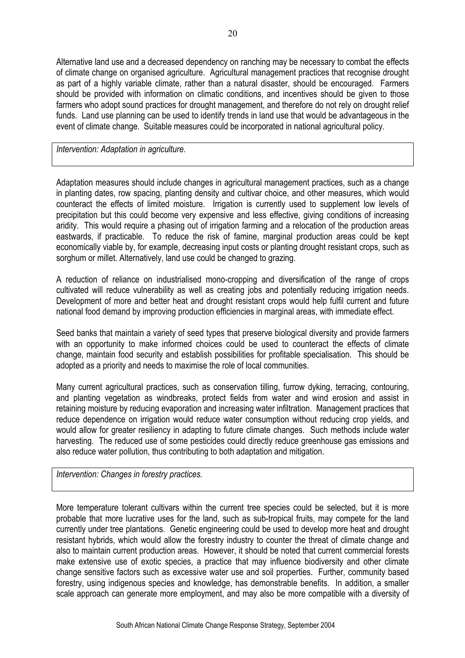Alternative land use and a decreased dependency on ranching may be necessary to combat the effects of climate change on organised agriculture. Agricultural management practices that recognise drought as part of a highly variable climate, rather than a natural disaster, should be encouraged. Farmers should be provided with information on climatic conditions, and incentives should be given to those farmers who adopt sound practices for drought management, and therefore do not rely on drought relief funds. Land use planning can be used to identify trends in land use that would be advantageous in the event of climate change. Suitable measures could be incorporated in national agricultural policy.

*Intervention: Adaptation in agriculture.* 

Adaptation measures should include changes in agricultural management practices, such as a change in planting dates, row spacing, planting density and cultivar choice, and other measures, which would counteract the effects of limited moisture. Irrigation is currently used to supplement low levels of precipitation but this could become very expensive and less effective, giving conditions of increasing aridity. This would require a phasing out of irrigation farming and a relocation of the production areas eastwards, if practicable. To reduce the risk of famine, marginal production areas could be kept economically viable by, for example, decreasing input costs or planting drought resistant crops, such as sorghum or millet. Alternatively, land use could be changed to grazing.

A reduction of reliance on industrialised mono-cropping and diversification of the range of crops cultivated will reduce vulnerability as well as creating jobs and potentially reducing irrigation needs. Development of more and better heat and drought resistant crops would help fulfil current and future national food demand by improving production efficiencies in marginal areas, with immediate effect.

Seed banks that maintain a variety of seed types that preserve biological diversity and provide farmers with an opportunity to make informed choices could be used to counteract the effects of climate change, maintain food security and establish possibilities for profitable specialisation. This should be adopted as a priority and needs to maximise the role of local communities.

Many current agricultural practices, such as conservation tilling, furrow dyking, terracing, contouring, and planting vegetation as windbreaks, protect fields from water and wind erosion and assist in retaining moisture by reducing evaporation and increasing water infiltration. Management practices that reduce dependence on irrigation would reduce water consumption without reducing crop yields, and would allow for greater resiliency in adapting to future climate changes. Such methods include water harvesting. The reduced use of some pesticides could directly reduce greenhouse gas emissions and also reduce water pollution, thus contributing to both adaptation and mitigation.

*Intervention: Changes in forestry practices.* 

More temperature tolerant cultivars within the current tree species could be selected, but it is more probable that more lucrative uses for the land, such as sub-tropical fruits, may compete for the land currently under tree plantations. Genetic engineering could be used to develop more heat and drought resistant hybrids, which would allow the forestry industry to counter the threat of climate change and also to maintain current production areas. However, it should be noted that current commercial forests make extensive use of exotic species, a practice that may influence biodiversity and other climate change sensitive factors such as excessive water use and soil properties. Further, community based forestry, using indigenous species and knowledge, has demonstrable benefits. In addition, a smaller scale approach can generate more employment, and may also be more compatible with a diversity of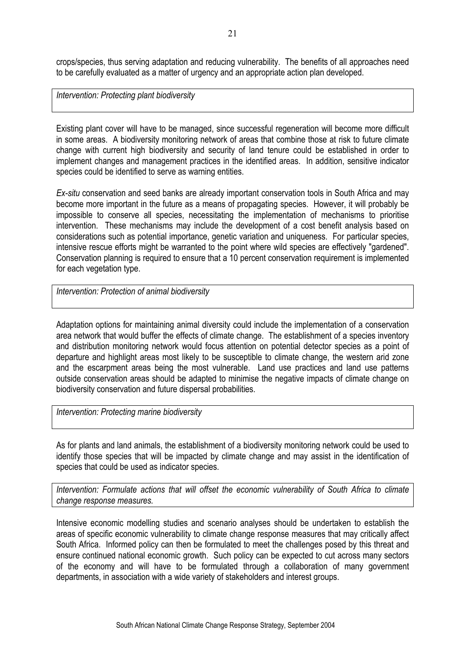crops/species, thus serving adaptation and reducing vulnerability. The benefits of all approaches need to be carefully evaluated as a matter of urgency and an appropriate action plan developed.

*Intervention: Protecting plant biodiversity* 

Existing plant cover will have to be managed, since successful regeneration will become more difficult in some areas. A biodiversity monitoring network of areas that combine those at risk to future climate change with current high biodiversity and security of land tenure could be established in order to implement changes and management practices in the identified areas. In addition, sensitive indicator species could be identified to serve as warning entities.

*Ex-situ* conservation and seed banks are already important conservation tools in South Africa and may become more important in the future as a means of propagating species. However, it will probably be impossible to conserve all species, necessitating the implementation of mechanisms to prioritise intervention. These mechanisms may include the development of a cost benefit analysis based on considerations such as potential importance, genetic variation and uniqueness. For particular species, intensive rescue efforts might be warranted to the point where wild species are effectively "gardened". Conservation planning is required to ensure that a 10 percent conservation requirement is implemented for each vegetation type.

*Intervention: Protection of animal biodiversity* 

Adaptation options for maintaining animal diversity could include the implementation of a conservation area network that would buffer the effects of climate change. The establishment of a species inventory and distribution monitoring network would focus attention on potential detector species as a point of departure and highlight areas most likely to be susceptible to climate change, the western arid zone and the escarpment areas being the most vulnerable. Land use practices and land use patterns outside conservation areas should be adapted to minimise the negative impacts of climate change on biodiversity conservation and future dispersal probabilities.

*Intervention: Protecting marine biodiversity* 

As for plants and land animals, the establishment of a biodiversity monitoring network could be used to identify those species that will be impacted by climate change and may assist in the identification of species that could be used as indicator species.

*Intervention: Formulate actions that will offset the economic vulnerability of South Africa to climate change response measures.* 

Intensive economic modelling studies and scenario analyses should be undertaken to establish the areas of specific economic vulnerability to climate change response measures that may critically affect South Africa. Informed policy can then be formulated to meet the challenges posed by this threat and ensure continued national economic growth. Such policy can be expected to cut across many sectors of the economy and will have to be formulated through a collaboration of many government departments, in association with a wide variety of stakeholders and interest groups.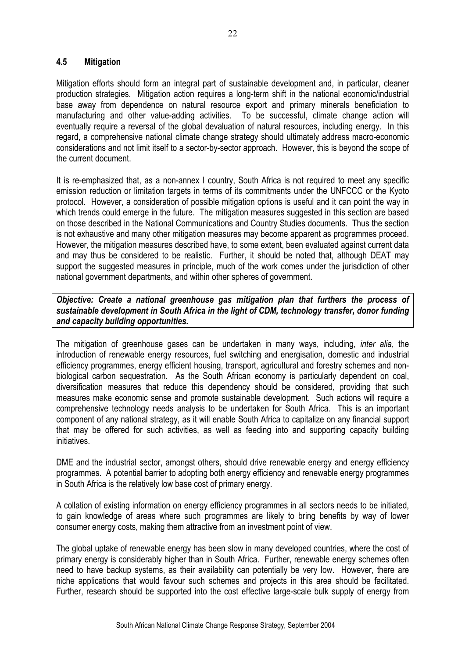#### **4.5 Mitigation**

Mitigation efforts should form an integral part of sustainable development and, in particular, cleaner production strategies. Mitigation action requires a long-term shift in the national economic/industrial base away from dependence on natural resource export and primary minerals beneficiation to manufacturing and other value-adding activities. To be successful, climate change action will eventually require a reversal of the global devaluation of natural resources, including energy. In this regard, a comprehensive national climate change strategy should ultimately address macro-economic considerations and not limit itself to a sector-by-sector approach. However, this is beyond the scope of the current document.

It is re-emphasized that, as a non-annex I country, South Africa is not required to meet any specific emission reduction or limitation targets in terms of its commitments under the UNFCCC or the Kyoto protocol. However, a consideration of possible mitigation options is useful and it can point the way in which trends could emerge in the future. The mitigation measures suggested in this section are based on those described in the National Communications and Country Studies documents. Thus the section is not exhaustive and many other mitigation measures may become apparent as programmes proceed. However, the mitigation measures described have, to some extent, been evaluated against current data and may thus be considered to be realistic. Further, it should be noted that, although DEAT may support the suggested measures in principle, much of the work comes under the jurisdiction of other national government departments, and within other spheres of government.

## *Objective: Create a national greenhouse gas mitigation plan that furthers the process of sustainable development in South Africa in the light of CDM, technology transfer, donor funding and capacity building opportunities.*

The mitigation of greenhouse gases can be undertaken in many ways, including, *inter alia*, the introduction of renewable energy resources, fuel switching and energisation, domestic and industrial efficiency programmes, energy efficient housing, transport, agricultural and forestry schemes and nonbiological carbon sequestration. As the South African economy is particularly dependent on coal, diversification measures that reduce this dependency should be considered, providing that such measures make economic sense and promote sustainable development. Such actions will require a comprehensive technology needs analysis to be undertaken for South Africa. This is an important component of any national strategy, as it will enable South Africa to capitalize on any financial support that may be offered for such activities, as well as feeding into and supporting capacity building initiatives.

DME and the industrial sector, amongst others, should drive renewable energy and energy efficiency programmes. A potential barrier to adopting both energy efficiency and renewable energy programmes in South Africa is the relatively low base cost of primary energy.

A collation of existing information on energy efficiency programmes in all sectors needs to be initiated, to gain knowledge of areas where such programmes are likely to bring benefits by way of lower consumer energy costs, making them attractive from an investment point of view.

The global uptake of renewable energy has been slow in many developed countries, where the cost of primary energy is considerably higher than in South Africa. Further, renewable energy schemes often need to have backup systems, as their availability can potentially be very low. However, there are niche applications that would favour such schemes and projects in this area should be facilitated. Further, research should be supported into the cost effective large-scale bulk supply of energy from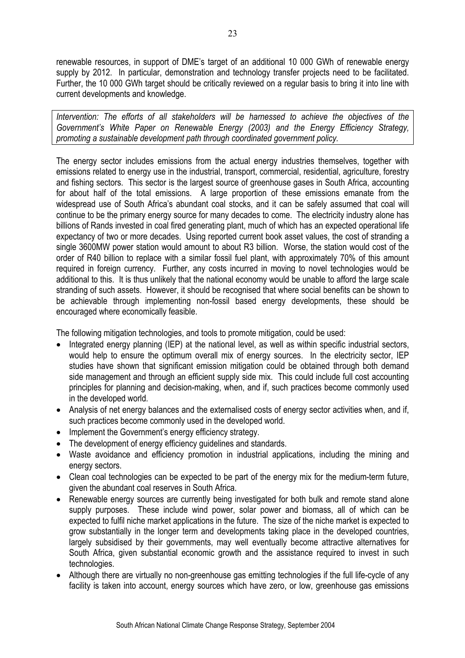renewable resources, in support of DME's target of an additional 10 000 GWh of renewable energy supply by 2012. In particular, demonstration and technology transfer projects need to be facilitated. Further, the 10 000 GWh target should be critically reviewed on a regular basis to bring it into line with current developments and knowledge.

*Intervention: The efforts of all stakeholders will be harnessed to achieve the objectives of the Government's White Paper on Renewable Energy (2003) and the Energy Efficiency Strategy, promoting a sustainable development path through coordinated government policy.* 

The energy sector includes emissions from the actual energy industries themselves, together with emissions related to energy use in the industrial, transport, commercial, residential, agriculture, forestry and fishing sectors. This sector is the largest source of greenhouse gases in South Africa, accounting for about half of the total emissions. A large proportion of these emissions emanate from the widespread use of South Africa's abundant coal stocks, and it can be safely assumed that coal will continue to be the primary energy source for many decades to come. The electricity industry alone has billions of Rands invested in coal fired generating plant, much of which has an expected operational life expectancy of two or more decades. Using reported current book asset values, the cost of stranding a single 3600MW power station would amount to about R3 billion. Worse, the station would cost of the order of R40 billion to replace with a similar fossil fuel plant, with approximately 70% of this amount required in foreign currency. Further, any costs incurred in moving to novel technologies would be additional to this. It is thus unlikely that the national economy would be unable to afford the large scale stranding of such assets. However, it should be recognised that where social benefits can be shown to be achievable through implementing non-fossil based energy developments, these should be encouraged where economically feasible.

The following mitigation technologies, and tools to promote mitigation, could be used:

- Integrated energy planning (IEP) at the national level, as well as within specific industrial sectors, would help to ensure the optimum overall mix of energy sources. In the electricity sector, IEP studies have shown that significant emission mitigation could be obtained through both demand side management and through an efficient supply side mix. This could include full cost accounting principles for planning and decision-making, when, and if, such practices become commonly used in the developed world.
- Analysis of net energy balances and the externalised costs of energy sector activities when, and if, such practices become commonly used in the developed world.
- Implement the Government's energy efficiency strategy.
- The development of energy efficiency guidelines and standards.
- Waste avoidance and efficiency promotion in industrial applications, including the mining and energy sectors.
- Clean coal technologies can be expected to be part of the energy mix for the medium-term future, given the abundant coal reserves in South Africa.
- Renewable energy sources are currently being investigated for both bulk and remote stand alone supply purposes. These include wind power, solar power and biomass, all of which can be expected to fulfil niche market applications in the future. The size of the niche market is expected to grow substantially in the longer term and developments taking place in the developed countries, largely subsidised by their governments, may well eventually become attractive alternatives for South Africa, given substantial economic growth and the assistance required to invest in such technologies.
- Although there are virtually no non-greenhouse gas emitting technologies if the full life-cycle of any facility is taken into account, energy sources which have zero, or low, greenhouse gas emissions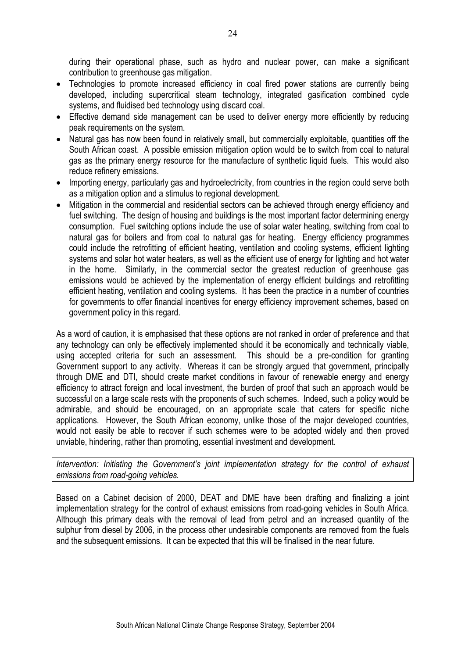during their operational phase, such as hydro and nuclear power, can make a significant contribution to greenhouse gas mitigation.

- Technologies to promote increased efficiency in coal fired power stations are currently being developed, including supercritical steam technology, integrated gasification combined cycle systems, and fluidised bed technology using discard coal.
- Effective demand side management can be used to deliver energy more efficiently by reducing peak requirements on the system.
- Natural gas has now been found in relatively small, but commercially exploitable, quantities off the South African coast. A possible emission mitigation option would be to switch from coal to natural gas as the primary energy resource for the manufacture of synthetic liquid fuels. This would also reduce refinery emissions.
- Importing energy, particularly gas and hydroelectricity, from countries in the region could serve both as a mitigation option and a stimulus to regional development.
- Mitigation in the commercial and residential sectors can be achieved through energy efficiency and fuel switching. The design of housing and buildings is the most important factor determining energy consumption. Fuel switching options include the use of solar water heating, switching from coal to natural gas for boilers and from coal to natural gas for heating. Energy efficiency programmes could include the retrofitting of efficient heating, ventilation and cooling systems, efficient lighting systems and solar hot water heaters, as well as the efficient use of energy for lighting and hot water in the home. Similarly, in the commercial sector the greatest reduction of greenhouse gas emissions would be achieved by the implementation of energy efficient buildings and retrofitting efficient heating, ventilation and cooling systems. It has been the practice in a number of countries for governments to offer financial incentives for energy efficiency improvement schemes, based on government policy in this regard.

As a word of caution, it is emphasised that these options are not ranked in order of preference and that any technology can only be effectively implemented should it be economically and technically viable, using accepted criteria for such an assessment. This should be a pre-condition for granting Government support to any activity. Whereas it can be strongly argued that government, principally through DME and DTI, should create market conditions in favour of renewable energy and energy efficiency to attract foreign and local investment, the burden of proof that such an approach would be successful on a large scale rests with the proponents of such schemes. Indeed, such a policy would be admirable, and should be encouraged, on an appropriate scale that caters for specific niche applications. However, the South African economy, unlike those of the major developed countries, would not easily be able to recover if such schemes were to be adopted widely and then proved unviable, hindering, rather than promoting, essential investment and development.

*Intervention: Initiating the Government's joint implementation strategy for the control of exhaust emissions from road-going vehicles.* 

Based on a Cabinet decision of 2000, DEAT and DME have been drafting and finalizing a joint implementation strategy for the control of exhaust emissions from road-going vehicles in South Africa. Although this primary deals with the removal of lead from petrol and an increased quantity of the sulphur from diesel by 2006, in the process other undesirable components are removed from the fuels and the subsequent emissions. It can be expected that this will be finalised in the near future.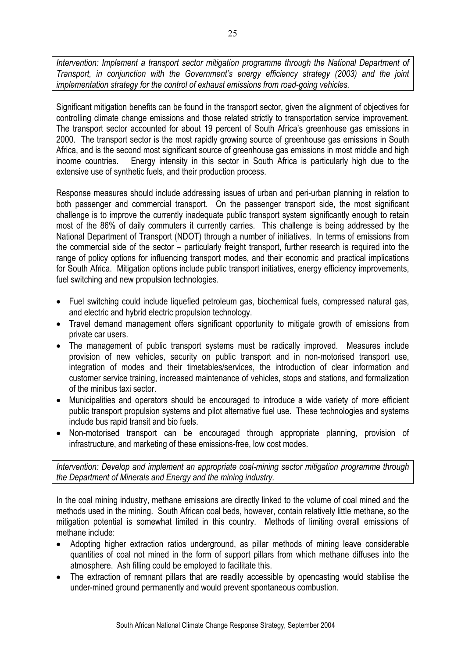*Intervention: Implement a transport sector mitigation programme through the National Department of Transport, in conjunction with the Government's energy efficiency strategy (2003) and the joint implementation strategy for the control of exhaust emissions from road-going vehicles.* 

Significant mitigation benefits can be found in the transport sector, given the alignment of objectives for controlling climate change emissions and those related strictly to transportation service improvement. The transport sector accounted for about 19 percent of South Africa's greenhouse gas emissions in 2000. The transport sector is the most rapidly growing source of greenhouse gas emissions in South Africa, and is the second most significant source of greenhouse gas emissions in most middle and high income countries. Energy intensity in this sector in South Africa is particularly high due to the extensive use of synthetic fuels, and their production process.

Response measures should include addressing issues of urban and peri-urban planning in relation to both passenger and commercial transport. On the passenger transport side, the most significant challenge is to improve the currently inadequate public transport system significantly enough to retain most of the 86% of daily commuters it currently carries. This challenge is being addressed by the National Department of Transport (NDOT) through a number of initiatives. In terms of emissions from the commercial side of the sector – particularly freight transport, further research is required into the range of policy options for influencing transport modes, and their economic and practical implications for South Africa. Mitigation options include public transport initiatives, energy efficiency improvements, fuel switching and new propulsion technologies.

- Fuel switching could include liquefied petroleum gas, biochemical fuels, compressed natural gas, and electric and hybrid electric propulsion technology.
- Travel demand management offers significant opportunity to mitigate growth of emissions from private car users.
- The management of public transport systems must be radically improved. Measures include provision of new vehicles, security on public transport and in non-motorised transport use, integration of modes and their timetables/services, the introduction of clear information and customer service training, increased maintenance of vehicles, stops and stations, and formalization of the minibus taxi sector.
- Municipalities and operators should be encouraged to introduce a wide variety of more efficient public transport propulsion systems and pilot alternative fuel use. These technologies and systems include bus rapid transit and bio fuels.
- Non-motorised transport can be encouraged through appropriate planning, provision of infrastructure, and marketing of these emissions-free, low cost modes.

*Intervention: Develop and implement an appropriate coal-mining sector mitigation programme through the Department of Minerals and Energy and the mining industry.* 

In the coal mining industry, methane emissions are directly linked to the volume of coal mined and the methods used in the mining. South African coal beds, however, contain relatively little methane, so the mitigation potential is somewhat limited in this country. Methods of limiting overall emissions of methane include:

- Adopting higher extraction ratios underground, as pillar methods of mining leave considerable quantities of coal not mined in the form of support pillars from which methane diffuses into the atmosphere. Ash filling could be employed to facilitate this.
- The extraction of remnant pillars that are readily accessible by opencasting would stabilise the under-mined ground permanently and would prevent spontaneous combustion.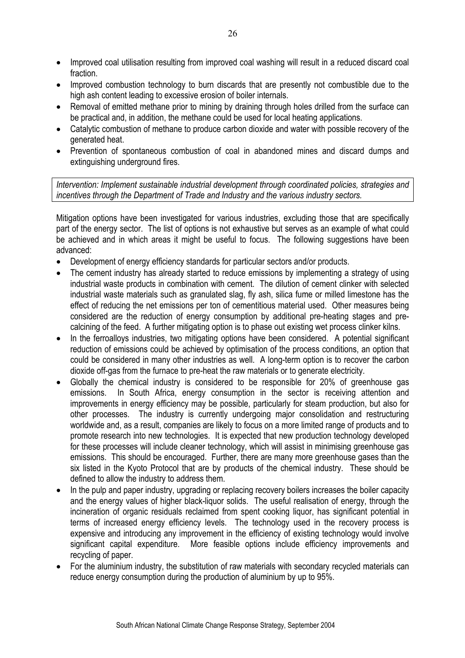- Improved coal utilisation resulting from improved coal washing will result in a reduced discard coal fraction.
- Improved combustion technology to burn discards that are presently not combustible due to the high ash content leading to excessive erosion of boiler internals.
- Removal of emitted methane prior to mining by draining through holes drilled from the surface can be practical and, in addition, the methane could be used for local heating applications.
- Catalytic combustion of methane to produce carbon dioxide and water with possible recovery of the generated heat.
- Prevention of spontaneous combustion of coal in abandoned mines and discard dumps and extinguishing underground fires.

*Intervention: Implement sustainable industrial development through coordinated policies, strategies and incentives through the Department of Trade and Industry and the various industry sectors.* 

Mitigation options have been investigated for various industries, excluding those that are specifically part of the energy sector. The list of options is not exhaustive but serves as an example of what could be achieved and in which areas it might be useful to focus. The following suggestions have been advanced:

- Development of energy efficiency standards for particular sectors and/or products.
- The cement industry has already started to reduce emissions by implementing a strategy of using industrial waste products in combination with cement. The dilution of cement clinker with selected industrial waste materials such as granulated slag, fly ash, silica fume or milled limestone has the effect of reducing the net emissions per ton of cementitious material used. Other measures being considered are the reduction of energy consumption by additional pre-heating stages and precalcining of the feed. A further mitigating option is to phase out existing wet process clinker kilns.
- In the ferroalloys industries, two mitigating options have been considered. A potential significant reduction of emissions could be achieved by optimisation of the process conditions, an option that could be considered in many other industries as well. A long-term option is to recover the carbon dioxide off-gas from the furnace to pre-heat the raw materials or to generate electricity.
- Globally the chemical industry is considered to be responsible for 20% of greenhouse gas emissions. In South Africa, energy consumption in the sector is receiving attention and improvements in energy efficiency may be possible, particularly for steam production, but also for other processes. The industry is currently undergoing major consolidation and restructuring worldwide and, as a result, companies are likely to focus on a more limited range of products and to promote research into new technologies. It is expected that new production technology developed for these processes will include cleaner technology, which will assist in minimising greenhouse gas emissions. This should be encouraged. Further, there are many more greenhouse gases than the six listed in the Kyoto Protocol that are by products of the chemical industry. These should be defined to allow the industry to address them.
- In the pulp and paper industry, upgrading or replacing recovery boilers increases the boiler capacity and the energy values of higher black-liquor solids. The useful realisation of energy, through the incineration of organic residuals reclaimed from spent cooking liquor, has significant potential in terms of increased energy efficiency levels. The technology used in the recovery process is expensive and introducing any improvement in the efficiency of existing technology would involve significant capital expenditure. More feasible options include efficiency improvements and recycling of paper.
- For the aluminium industry, the substitution of raw materials with secondary recycled materials can reduce energy consumption during the production of aluminium by up to 95%.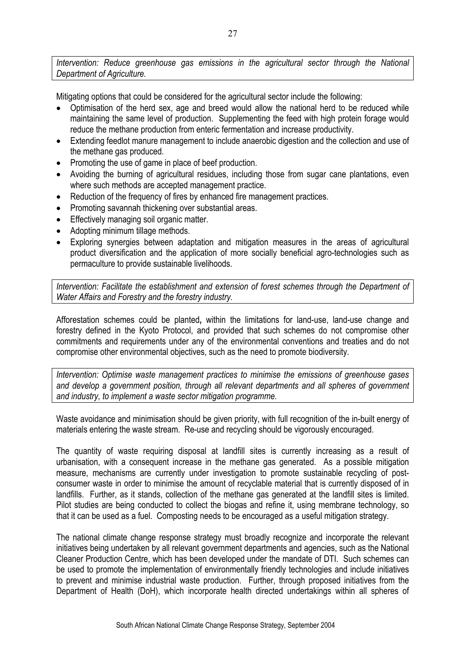*Intervention: Reduce greenhouse gas emissions in the agricultural sector through the National Department of Agriculture.* 

Mitigating options that could be considered for the agricultural sector include the following:

- Optimisation of the herd sex, age and breed would allow the national herd to be reduced while maintaining the same level of production. Supplementing the feed with high protein forage would reduce the methane production from enteric fermentation and increase productivity.
- Extending feedlot manure management to include anaerobic digestion and the collection and use of the methane gas produced.
- Promoting the use of game in place of beef production.
- Avoiding the burning of agricultural residues, including those from sugar cane plantations, even where such methods are accepted management practice.
- Reduction of the frequency of fires by enhanced fire management practices.
- Promoting savannah thickening over substantial areas.
- Effectively managing soil organic matter.
- Adopting minimum tillage methods.
- Exploring synergies between adaptation and mitigation measures in the areas of agricultural product diversification and the application of more socially beneficial agro-technologies such as permaculture to provide sustainable livelihoods.

*Intervention: Facilitate the establishment and extension of forest schemes through the Department of Water Affairs and Forestry and the forestry industry.* 

Afforestation schemes could be planted**,** within the limitations for land-use, land-use change and forestry defined in the Kyoto Protocol, and provided that such schemes do not compromise other commitments and requirements under any of the environmental conventions and treaties and do not compromise other environmental objectives, such as the need to promote biodiversity.

*Intervention: Optimise waste management practices to minimise the emissions of greenhouse gases and develop a government position, through all relevant departments and all spheres of government and industry, to implement a waste sector mitigation programme.* 

Waste avoidance and minimisation should be given priority, with full recognition of the in-built energy of materials entering the waste stream. Re-use and recycling should be vigorously encouraged.

The quantity of waste requiring disposal at landfill sites is currently increasing as a result of urbanisation, with a consequent increase in the methane gas generated. As a possible mitigation measure, mechanisms are currently under investigation to promote sustainable recycling of postconsumer waste in order to minimise the amount of recyclable material that is currently disposed of in landfills. Further, as it stands, collection of the methane gas generated at the landfill sites is limited. Pilot studies are being conducted to collect the biogas and refine it, using membrane technology, so that it can be used as a fuel. Composting needs to be encouraged as a useful mitigation strategy.

The national climate change response strategy must broadly recognize and incorporate the relevant initiatives being undertaken by all relevant government departments and agencies, such as the National Cleaner Production Centre, which has been developed under the mandate of DTI. Such schemes can be used to promote the implementation of environmentally friendly technologies and include initiatives to prevent and minimise industrial waste production. Further, through proposed initiatives from the Department of Health (DoH), which incorporate health directed undertakings within all spheres of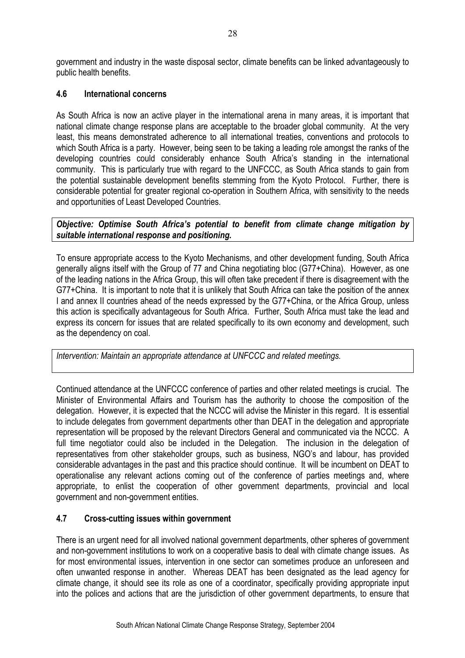government and industry in the waste disposal sector, climate benefits can be linked advantageously to public health benefits.

## **4.6 International concerns**

As South Africa is now an active player in the international arena in many areas, it is important that national climate change response plans are acceptable to the broader global community. At the very least, this means demonstrated adherence to all international treaties, conventions and protocols to which South Africa is a party. However, being seen to be taking a leading role amongst the ranks of the developing countries could considerably enhance South Africa's standing in the international community. This is particularly true with regard to the UNFCCC, as South Africa stands to gain from the potential sustainable development benefits stemming from the Kyoto Protocol. Further, there is considerable potential for greater regional co-operation in Southern Africa, with sensitivity to the needs and opportunities of Least Developed Countries.

*Objective: Optimise South Africa's potential to benefit from climate change mitigation by suitable international response and positioning.* 

To ensure appropriate access to the Kyoto Mechanisms, and other development funding, South Africa generally aligns itself with the Group of 77 and China negotiating bloc (G77+China). However, as one of the leading nations in the Africa Group, this will often take precedent if there is disagreement with the G77+China. It is important to note that it is unlikely that South Africa can take the position of the annex I and annex II countries ahead of the needs expressed by the G77+China, or the Africa Group, unless this action is specifically advantageous for South Africa. Further, South Africa must take the lead and express its concern for issues that are related specifically to its own economy and development, such as the dependency on coal.

*Intervention: Maintain an appropriate attendance at UNFCCC and related meetings.* 

Continued attendance at the UNFCCC conference of parties and other related meetings is crucial. The Minister of Environmental Affairs and Tourism has the authority to choose the composition of the delegation. However, it is expected that the NCCC will advise the Minister in this regard. It is essential to include delegates from government departments other than DEAT in the delegation and appropriate representation will be proposed by the relevant Directors General and communicated via the NCCC. A full time negotiator could also be included in the Delegation. The inclusion in the delegation of representatives from other stakeholder groups, such as business, NGO's and labour, has provided considerable advantages in the past and this practice should continue. It will be incumbent on DEAT to operationalise any relevant actions coming out of the conference of parties meetings and, where appropriate, to enlist the cooperation of other government departments, provincial and local government and non-government entities.

## **4.7 Cross-cutting issues within government**

There is an urgent need for all involved national government departments, other spheres of government and non-government institutions to work on a cooperative basis to deal with climate change issues. As for most environmental issues, intervention in one sector can sometimes produce an unforeseen and often unwanted response in another. Whereas DEAT has been designated as the lead agency for climate change, it should see its role as one of a coordinator, specifically providing appropriate input into the polices and actions that are the jurisdiction of other government departments, to ensure that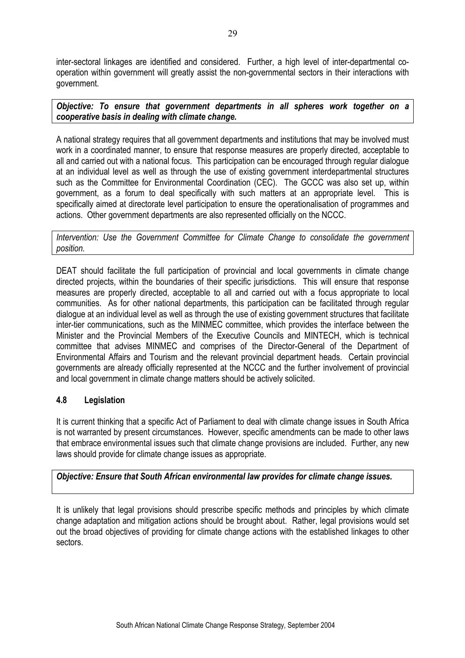inter-sectoral linkages are identified and considered. Further, a high level of inter-departmental cooperation within government will greatly assist the non-governmental sectors in their interactions with government.

*Objective: To ensure that government departments in all spheres work together on a cooperative basis in dealing with climate change.* 

A national strategy requires that all government departments and institutions that may be involved must work in a coordinated manner, to ensure that response measures are properly directed, acceptable to all and carried out with a national focus. This participation can be encouraged through regular dialogue at an individual level as well as through the use of existing government interdepartmental structures such as the Committee for Environmental Coordination (CEC). The GCCC was also set up, within government, as a forum to deal specifically with such matters at an appropriate level. This is specifically aimed at directorate level participation to ensure the operationalisation of programmes and actions. Other government departments are also represented officially on the NCCC.

*Intervention: Use the Government Committee for Climate Change to consolidate the government position.* 

DEAT should facilitate the full participation of provincial and local governments in climate change directed projects, within the boundaries of their specific jurisdictions. This will ensure that response measures are properly directed, acceptable to all and carried out with a focus appropriate to local communities. As for other national departments, this participation can be facilitated through regular dialogue at an individual level as well as through the use of existing government structures that facilitate inter-tier communications, such as the MINMEC committee, which provides the interface between the Minister and the Provincial Members of the Executive Councils and MINTECH, which is technical committee that advises MINMEC and comprises of the Director-General of the Department of Environmental Affairs and Tourism and the relevant provincial department heads. Certain provincial governments are already officially represented at the NCCC and the further involvement of provincial and local government in climate change matters should be actively solicited.

## **4.8 Legislation**

It is current thinking that a specific Act of Parliament to deal with climate change issues in South Africa is not warranted by present circumstances. However, specific amendments can be made to other laws that embrace environmental issues such that climate change provisions are included. Further, any new laws should provide for climate change issues as appropriate.

## *Objective: Ensure that South African environmental law provides for climate change issues.*

It is unlikely that legal provisions should prescribe specific methods and principles by which climate change adaptation and mitigation actions should be brought about. Rather, legal provisions would set out the broad objectives of providing for climate change actions with the established linkages to other sectors.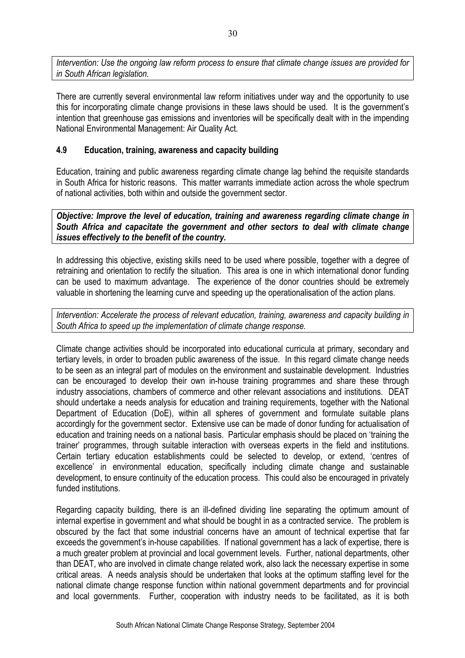*Intervention: Use the ongoing law reform process to ensure that climate change issues are provided for in South African legislation.* 

There are currently several environmental law reform initiatives under way and the opportunity to use this for incorporating climate change provisions in these laws should be used. It is the government's intention that greenhouse gas emissions and inventories will be specifically dealt with in the impending National Environmental Management: Air Quality Act.

## **4.9 Education, training, awareness and capacity building**

Education, training and public awareness regarding climate change lag behind the requisite standards in South Africa for historic reasons. This matter warrants immediate action across the whole spectrum of national activities, both within and outside the government sector.

*Objective: Improve the level of education, training and awareness regarding climate change in South Africa and capacitate the government and other sectors to deal with climate change issues effectively to the benefit of the country.* 

In addressing this objective, existing skills need to be used where possible, together with a degree of retraining and orientation to rectify the situation. This area is one in which international donor funding can be used to maximum advantage. The experience of the donor countries should be extremely valuable in shortening the learning curve and speeding up the operationalisation of the action plans.

*Intervention: Accelerate the process of relevant education, training, awareness and capacity building in South Africa to speed up the implementation of climate change response.* 

Climate change activities should be incorporated into educational curricula at primary, secondary and tertiary levels, in order to broaden public awareness of the issue. In this regard climate change needs to be seen as an integral part of modules on the environment and sustainable development. Industries can be encouraged to develop their own in-house training programmes and share these through industry associations, chambers of commerce and other relevant associations and institutions. DEAT should undertake a needs analysis for education and training requirements, together with the National Department of Education (DoE), within all spheres of government and formulate suitable plans accordingly for the government sector. Extensive use can be made of donor funding for actualisation of education and training needs on a national basis. Particular emphasis should be placed on 'training the trainer' programmes, through suitable interaction with overseas experts in the field and institutions. Certain tertiary education establishments could be selected to develop, or extend, 'centres of excellence' in environmental education, specifically including climate change and sustainable development, to ensure continuity of the education process. This could also be encouraged in privately funded institutions.

Regarding capacity building, there is an ill-defined dividing line separating the optimum amount of internal expertise in government and what should be bought in as a contracted service. The problem is obscured by the fact that some industrial concerns have an amount of technical expertise that far exceeds the government's in-house capabilities. If national government has a lack of expertise, there is a much greater problem at provincial and local government levels. Further, national departments, other than DEAT, who are involved in climate change related work, also lack the necessary expertise in some critical areas. A needs analysis should be undertaken that looks at the optimum staffing level for the national climate change response function within national government departments and for provincial and local governments. Further, cooperation with industry needs to be facilitated, as it is both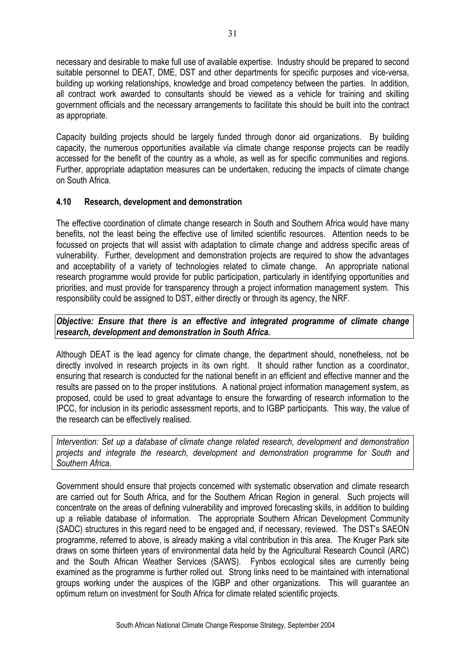necessary and desirable to make full use of available expertise. Industry should be prepared to second suitable personnel to DEAT, DME, DST and other departments for specific purposes and vice-versa, building up working relationships, knowledge and broad competency between the parties. In addition, all contract work awarded to consultants should be viewed as a vehicle for training and skilling government officials and the necessary arrangements to facilitate this should be built into the contract as appropriate.

Capacity building projects should be largely funded through donor aid organizations. By building capacity, the numerous opportunities available via climate change response projects can be readily accessed for the benefit of the country as a whole, as well as for specific communities and regions. Further, appropriate adaptation measures can be undertaken, reducing the impacts of climate change on South Africa.

#### **4.10 Research, development and demonstration**

The effective coordination of climate change research in South and Southern Africa would have many benefits, not the least being the effective use of limited scientific resources. Attention needs to be focussed on projects that will assist with adaptation to climate change and address specific areas of vulnerability. Further, development and demonstration projects are required to show the advantages and acceptability of a variety of technologies related to climate change. An appropriate national research programme would provide for public participation, particularly in identifying opportunities and priorities, and must provide for transparency through a project information management system. This responsibility could be assigned to DST, either directly or through its agency, the NRF.

#### *Objective: Ensure that there is an effective and integrated programme of climate change research, development and demonstration in South Africa.*

Although DEAT is the lead agency for climate change, the department should, nonetheless, not be directly involved in research projects in its own right. It should rather function as a coordinator, ensuring that research is conducted for the national benefit in an efficient and effective manner and the results are passed on to the proper institutions. A national project information management system, as proposed, could be used to great advantage to ensure the forwarding of research information to the IPCC, for inclusion in its periodic assessment reports, and to IGBP participants. This way, the value of the research can be effectively realised.

*Intervention: Set up a database of climate change related research, development and demonstration projects and integrate the research, development and demonstration programme for South and Southern Africa.* 

Government should ensure that projects concerned with systematic observation and climate research are carried out for South Africa, and for the Southern African Region in general. Such projects will concentrate on the areas of defining vulnerability and improved forecasting skills, in addition to building up a reliable database of information. The appropriate Southern African Development Community (SADC) structures in this regard need to be engaged and, if necessary, reviewed. The DST's SAEON programme, referred to above, is already making a vital contribution in this area. The Kruger Park site draws on some thirteen years of environmental data held by the Agricultural Research Council (ARC) and the South African Weather Services (SAWS). Fynbos ecological sites are currently being examined as the programme is further rolled out. Strong links need to be maintained with international groups working under the auspices of the IGBP and other organizations. This will guarantee an optimum return on investment for South Africa for climate related scientific projects.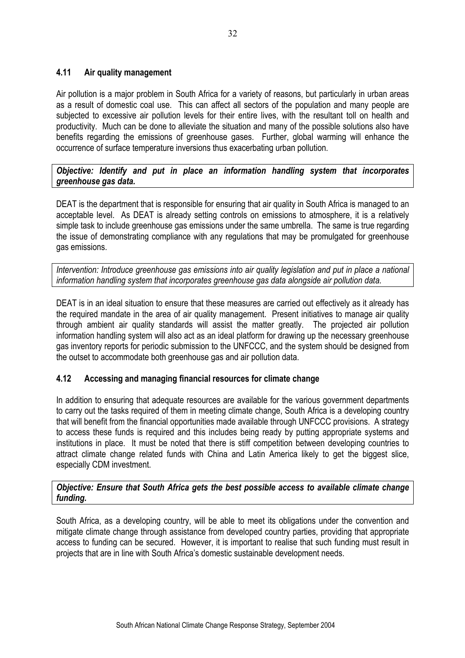## **4.11 Air quality management**

Air pollution is a major problem in South Africa for a variety of reasons, but particularly in urban areas as a result of domestic coal use. This can affect all sectors of the population and many people are subjected to excessive air pollution levels for their entire lives, with the resultant toll on health and productivity. Much can be done to alleviate the situation and many of the possible solutions also have benefits regarding the emissions of greenhouse gases. Further, global warming will enhance the occurrence of surface temperature inversions thus exacerbating urban pollution.

*Objective: Identify and put in place an information handling system that incorporates greenhouse gas data.* 

DEAT is the department that is responsible for ensuring that air quality in South Africa is managed to an acceptable level. As DEAT is already setting controls on emissions to atmosphere, it is a relatively simple task to include greenhouse gas emissions under the same umbrella. The same is true regarding the issue of demonstrating compliance with any regulations that may be promulgated for greenhouse gas emissions.

*Intervention: Introduce greenhouse gas emissions into air quality legislation and put in place a national information handling system that incorporates greenhouse gas data alongside air pollution data.* 

DEAT is in an ideal situation to ensure that these measures are carried out effectively as it already has the required mandate in the area of air quality management. Present initiatives to manage air quality through ambient air quality standards will assist the matter greatly. The projected air pollution information handling system will also act as an ideal platform for drawing up the necessary greenhouse gas inventory reports for periodic submission to the UNFCCC, and the system should be designed from the outset to accommodate both greenhouse gas and air pollution data.

#### **4.12 Accessing and managing financial resources for climate change**

In addition to ensuring that adequate resources are available for the various government departments to carry out the tasks required of them in meeting climate change, South Africa is a developing country that will benefit from the financial opportunities made available through UNFCCC provisions. A strategy to access these funds is required and this includes being ready by putting appropriate systems and institutions in place. It must be noted that there is stiff competition between developing countries to attract climate change related funds with China and Latin America likely to get the biggest slice, especially CDM investment.

#### *Objective: Ensure that South Africa gets the best possible access to available climate change funding.*

South Africa, as a developing country, will be able to meet its obligations under the convention and mitigate climate change through assistance from developed country parties, providing that appropriate access to funding can be secured. However, it is important to realise that such funding must result in projects that are in line with South Africa's domestic sustainable development needs.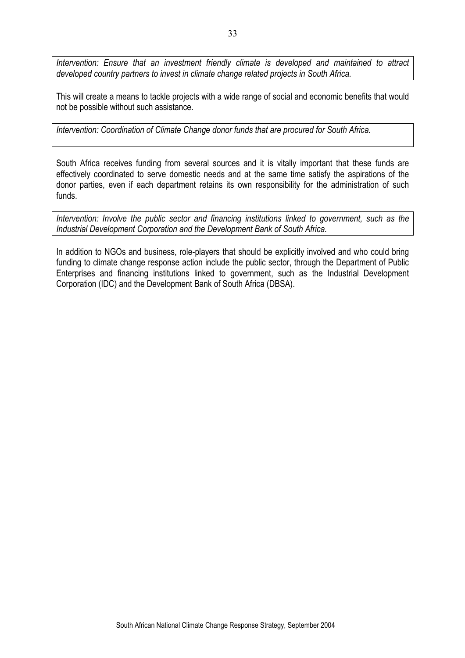*Intervention: Ensure that an investment friendly climate is developed and maintained to attract developed country partners to invest in climate change related projects in South Africa.* 

This will create a means to tackle projects with a wide range of social and economic benefits that would not be possible without such assistance.

*Intervention: Coordination of Climate Change donor funds that are procured for South Africa.* 

South Africa receives funding from several sources and it is vitally important that these funds are effectively coordinated to serve domestic needs and at the same time satisfy the aspirations of the donor parties, even if each department retains its own responsibility for the administration of such funds.

*Intervention: Involve the public sector and financing institutions linked to government, such as the Industrial Development Corporation and the Development Bank of South Africa.* 

In addition to NGOs and business, role-players that should be explicitly involved and who could bring funding to climate change response action include the public sector, through the Department of Public Enterprises and financing institutions linked to government, such as the Industrial Development Corporation (IDC) and the Development Bank of South Africa (DBSA).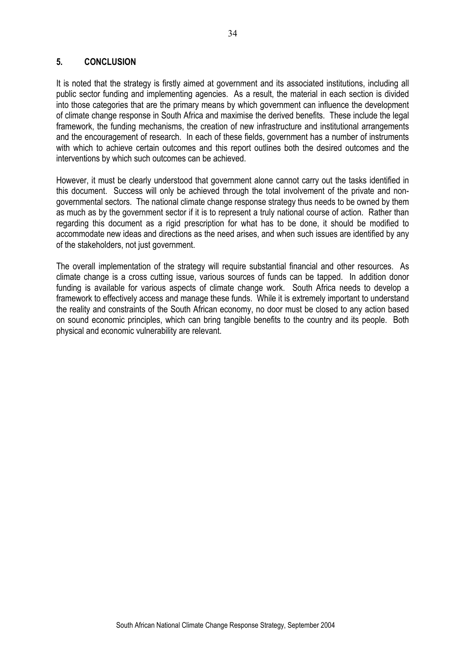#### **5. CONCLUSION**

It is noted that the strategy is firstly aimed at government and its associated institutions, including all public sector funding and implementing agencies. As a result, the material in each section is divided into those categories that are the primary means by which government can influence the development of climate change response in South Africa and maximise the derived benefits. These include the legal framework, the funding mechanisms, the creation of new infrastructure and institutional arrangements and the encouragement of research. In each of these fields, government has a number of instruments with which to achieve certain outcomes and this report outlines both the desired outcomes and the interventions by which such outcomes can be achieved.

However, it must be clearly understood that government alone cannot carry out the tasks identified in this document. Success will only be achieved through the total involvement of the private and nongovernmental sectors. The national climate change response strategy thus needs to be owned by them as much as by the government sector if it is to represent a truly national course of action. Rather than regarding this document as a rigid prescription for what has to be done, it should be modified to accommodate new ideas and directions as the need arises, and when such issues are identified by any of the stakeholders, not just government.

The overall implementation of the strategy will require substantial financial and other resources. As climate change is a cross cutting issue, various sources of funds can be tapped. In addition donor funding is available for various aspects of climate change work. South Africa needs to develop a framework to effectively access and manage these funds. While it is extremely important to understand the reality and constraints of the South African economy, no door must be closed to any action based on sound economic principles, which can bring tangible benefits to the country and its people. Both physical and economic vulnerability are relevant.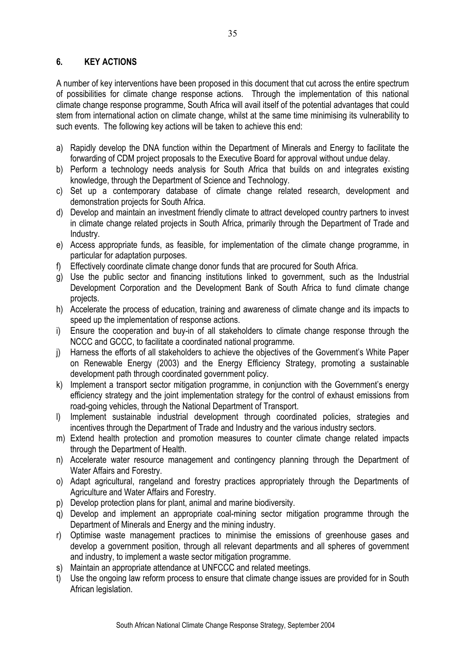# **6. KEY ACTIONS**

A number of key interventions have been proposed in this document that cut across the entire spectrum of possibilities for climate change response actions. Through the implementation of this national climate change response programme, South Africa will avail itself of the potential advantages that could stem from international action on climate change, whilst at the same time minimising its vulnerability to such events. The following key actions will be taken to achieve this end:

- a) Rapidly develop the DNA function within the Department of Minerals and Energy to facilitate the forwarding of CDM project proposals to the Executive Board for approval without undue delay.
- b) Perform a technology needs analysis for South Africa that builds on and integrates existing knowledge, through the Department of Science and Technology.
- c) Set up a contemporary database of climate change related research, development and demonstration projects for South Africa.
- d) Develop and maintain an investment friendly climate to attract developed country partners to invest in climate change related projects in South Africa, primarily through the Department of Trade and Industry.
- e) Access appropriate funds, as feasible, for implementation of the climate change programme, in particular for adaptation purposes.
- f) Effectively coordinate climate change donor funds that are procured for South Africa.
- g) Use the public sector and financing institutions linked to government, such as the Industrial Development Corporation and the Development Bank of South Africa to fund climate change projects.
- h) Accelerate the process of education, training and awareness of climate change and its impacts to speed up the implementation of response actions.
- i) Ensure the cooperation and buy-in of all stakeholders to climate change response through the NCCC and GCCC, to facilitate a coordinated national programme.
- j) Harness the efforts of all stakeholders to achieve the objectives of the Government's White Paper on Renewable Energy (2003) and the Energy Efficiency Strategy, promoting a sustainable development path through coordinated government policy.
- k) Implement a transport sector mitigation programme, in conjunction with the Government's energy efficiency strategy and the joint implementation strategy for the control of exhaust emissions from road-going vehicles, through the National Department of Transport.
- l) Implement sustainable industrial development through coordinated policies, strategies and incentives through the Department of Trade and Industry and the various industry sectors.
- m) Extend health protection and promotion measures to counter climate change related impacts through the Department of Health.
- n) Accelerate water resource management and contingency planning through the Department of Water Affairs and Forestry.
- o) Adapt agricultural, rangeland and forestry practices appropriately through the Departments of Agriculture and Water Affairs and Forestry.
- p) Develop protection plans for plant, animal and marine biodiversity.
- q) Develop and implement an appropriate coal-mining sector mitigation programme through the Department of Minerals and Energy and the mining industry.
- r) Optimise waste management practices to minimise the emissions of greenhouse gases and develop a government position, through all relevant departments and all spheres of government and industry, to implement a waste sector mitigation programme.
- s) Maintain an appropriate attendance at UNFCCC and related meetings.
- t) Use the ongoing law reform process to ensure that climate change issues are provided for in South African legislation.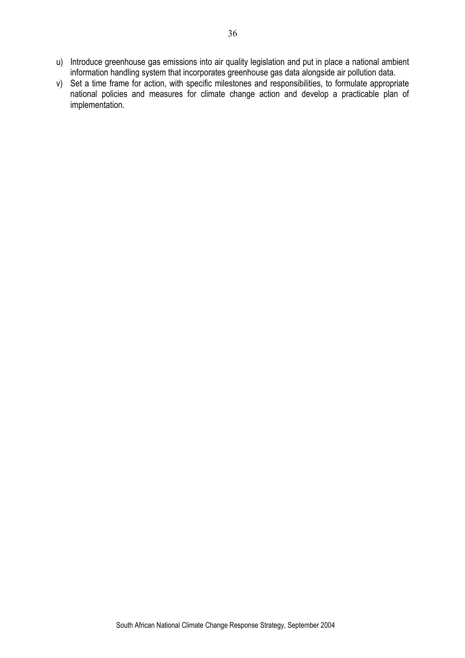- u) Introduce greenhouse gas emissions into air quality legislation and put in place a national ambient information handling system that incorporates greenhouse gas data alongside air pollution data.
- v) Set a time frame for action, with specific milestones and responsibilities, to formulate appropriate national policies and measures for climate change action and develop a practicable plan of implementation.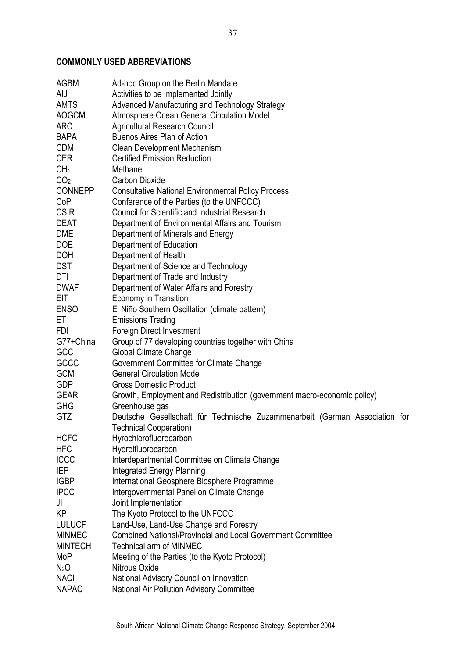# **COMMONLY USED ABBREVIATIONS**

| <b>AGBM</b>      | Ad-hoc Group on the Berlin Mandate                                          |
|------------------|-----------------------------------------------------------------------------|
| AIJ              | Activities to be Implemented Jointly                                        |
| <b>AMTS</b>      | Advanced Manufacturing and Technology Strategy                              |
| <b>AOGCM</b>     | Atmosphere Ocean General Circulation Model                                  |
| <b>ARC</b>       | <b>Agricultural Research Council</b>                                        |
| <b>BAPA</b>      | <b>Buenos Aires Plan of Action</b>                                          |
| <b>CDM</b>       | Clean Development Mechanism                                                 |
| <b>CER</b>       | <b>Certified Emission Reduction</b>                                         |
| CH <sub>4</sub>  | Methane                                                                     |
| CO <sub>2</sub>  | <b>Carbon Dioxide</b>                                                       |
| <b>CONNEPP</b>   | <b>Consultative National Environmental Policy Process</b>                   |
| CoP              | Conference of the Parties (to the UNFCCC)                                   |
| <b>CSIR</b>      | <b>Council for Scientific and Industrial Research</b>                       |
| <b>DEAT</b>      | Department of Environmental Affairs and Tourism                             |
|                  |                                                                             |
| <b>DME</b>       | Department of Minerals and Energy                                           |
| <b>DOE</b>       | Department of Education                                                     |
| <b>DOH</b>       | Department of Health                                                        |
| <b>DST</b>       | Department of Science and Technology                                        |
| DTI              | Department of Trade and Industry                                            |
| <b>DWAF</b>      | Department of Water Affairs and Forestry                                    |
| EIT              | Economy in Transition                                                       |
| <b>ENSO</b>      | El Niño Southern Oscillation (climate pattern)                              |
| EТ               | <b>Emissions Trading</b>                                                    |
| FDI              | Foreign Direct Investment                                                   |
| G77+China        | Group of 77 developing countries together with China                        |
| GCC              | Global Climate Change                                                       |
| GCCC             | Government Committee for Climate Change                                     |
| <b>GCM</b>       | <b>General Circulation Model</b>                                            |
| <b>GDP</b>       | <b>Gross Domestic Product</b>                                               |
| <b>GEAR</b>      | Growth, Employment and Redistribution (government macro-economic policy)    |
| <b>GHG</b>       | Greenhouse gas                                                              |
| GTZ              | Deutsche Gesellschaft für Technische Zuzammenarbeit (German Association for |
|                  | <b>Technical Cooperation)</b>                                               |
| <b>HCFC</b>      | Hyrochlorofluorocarbon                                                      |
| HFC              | Hydrolfluorocarbon                                                          |
| <b>ICCC</b>      | Interdepartmental Committee on Climate Change                               |
| IEP              | <b>Integrated Energy Planning</b>                                           |
| <b>IGBP</b>      | International Geosphere Biosphere Programme                                 |
| <b>IPCC</b>      | Intergovernmental Panel on Climate Change                                   |
| JI               | Joint Implementation                                                        |
| KP               | The Kyoto Protocol to the UNFCCC                                            |
| <b>LULUCF</b>    | Land-Use, Land-Use Change and Forestry                                      |
| <b>MINMEC</b>    | <b>Combined National/Provincial and Local Government Committee</b>          |
| <b>MINTECH</b>   | <b>Technical arm of MINMEC</b>                                              |
| MoP              | Meeting of the Parties (to the Kyoto Protocol)                              |
| N <sub>2</sub> O | Nitrous Oxide                                                               |
| <b>NACI</b>      | National Advisory Council on Innovation                                     |
| <b>NAPAC</b>     | National Air Pollution Advisory Committee                                   |
|                  |                                                                             |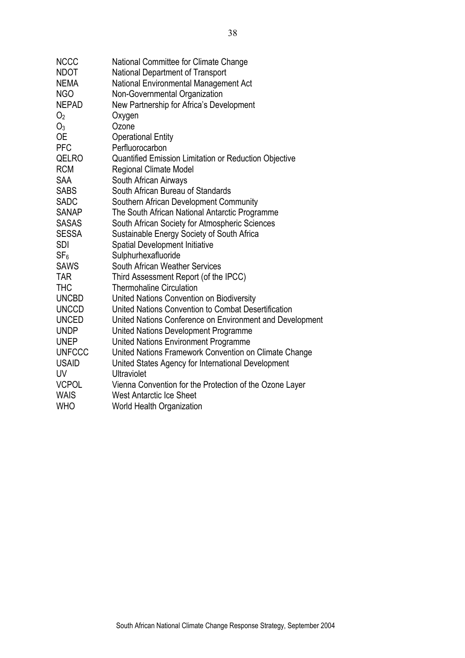| <b>NCCC</b>     | National Committee for Climate Change                        |
|-----------------|--------------------------------------------------------------|
| <b>NDOT</b>     | <b>National Department of Transport</b>                      |
| <b>NEMA</b>     | National Environmental Management Act                        |
| <b>NGO</b>      | Non-Governmental Organization                                |
| <b>NEPAD</b>    | New Partnership for Africa's Development                     |
| O <sub>2</sub>  | Oxygen                                                       |
| $O_3$           | Ozone                                                        |
| <b>OE</b>       | <b>Operational Entity</b>                                    |
| <b>PFC</b>      | Perfluorocarbon                                              |
| QELRO           | <b>Quantified Emission Limitation or Reduction Objective</b> |
| <b>RCM</b>      | <b>Regional Climate Model</b>                                |
| <b>SAA</b>      | South African Airways                                        |
| <b>SABS</b>     | South African Bureau of Standards                            |
| <b>SADC</b>     | Southern African Development Community                       |
| SANAP           | The South African National Antarctic Programme               |
| <b>SASAS</b>    | South African Society for Atmospheric Sciences               |
| <b>SESSA</b>    | Sustainable Energy Society of South Africa                   |
| <b>SDI</b>      | <b>Spatial Development Initiative</b>                        |
| SF <sub>6</sub> | Sulphurhexafluoride                                          |
| <b>SAWS</b>     | South African Weather Services                               |
| <b>TAR</b>      | Third Assessment Report (of the IPCC)                        |
| <b>THC</b>      | <b>Thermohaline Circulation</b>                              |
| <b>UNCBD</b>    | United Nations Convention on Biodiversity                    |
| <b>UNCCD</b>    | United Nations Convention to Combat Desertification          |
| <b>UNCED</b>    | United Nations Conference on Environment and Development     |
| <b>UNDP</b>     | United Nations Development Programme                         |
| <b>UNEP</b>     | United Nations Environment Programme                         |
| <b>UNFCCC</b>   | United Nations Framework Convention on Climate Change        |
| <b>USAID</b>    | United States Agency for International Development           |
| <b>UV</b>       | <b>Ultraviolet</b>                                           |
| <b>VCPOL</b>    | Vienna Convention for the Protection of the Ozone Layer      |
| <b>WAIS</b>     | <b>West Antarctic Ice Sheet</b>                              |
| <b>WHO</b>      | World Health Organization                                    |